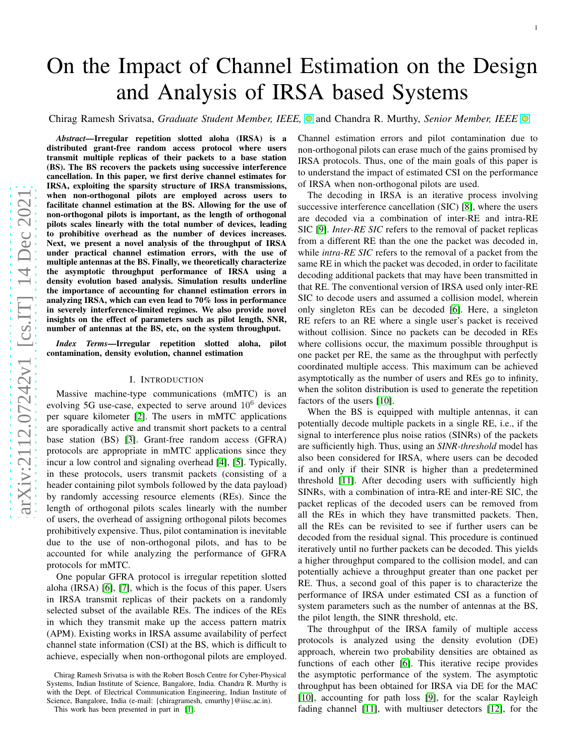# On the Impact of Channel Estimation on the Design and Analysis of IRSA based Systems

**Chirag Ramesh Srivatsa,** *Graduate Student Member, IEEE***,**  $\bullet$  **and Chandra R. Murthy,** *Senior Member, IEEE* $\bullet$ 

*Abstract*—Irregular repetition slotted aloha (IRSA) is a distributed grant-free random access protocol where users transmit multiple replicas of their packets to a base statio n (BS). The BS recovers the packets using successive interference cancellation. In this paper, we first derive channel estimates for IRSA, exploiting the sparsity structure of IRSA transmissions, when non-orthogonal pilots are employed across users to facilitate channel estimation at the BS. Allowing for the use of non-orthogonal pilots is important, as the length of orthogonal pilots scales linearly with the total number of devices, leading to prohibitive overhead as the number of devices increases. Next, we present a novel analysis of the throughput of IRSA under practical channel estimation errors, with the use of multiple antennas at the BS. Finally, we theoretically characterize the asymptotic throughput performance of IRSA using a density evolution based analysis. Simulation results underline the importance of accounting for channel estimation errors in analyzing IRSA, which can even lead to 70% loss in performanc e in severely interference-limited regimes. We also provide novel insights on the effect of parameters such as pilot length, SNR, number of antennas at the BS, etc, on the system throughput.

*Index Terms*—Irregular repetition slotted aloha, pilot contamination, density evolution, channel estimation

# I. INTRODUCTION

Massive machine-type communications (mMTC) is an evolving 5G use-case, expected to serve around  $10^6$  devices per square kilometer [\[2\]](#page-12-0). The users in mMTC applications are sporadically active and transmit short packets to a central base station (BS) [\[3\]](#page-12-1). Grant-free random access (GFRA) protocols are appropriate in mMTC applications since they incur a low control and signaling overhead [\[4\]](#page-12-2), [\[5\]](#page-12-3). Typically, in these protocols, users transmit packets (consisting of a header containing pilot symbols followed by the data payload) by randomly accessing resource elements (REs). Since the length of orthogonal pilots scales linearly with the number of users, the overhead of assigning orthogonal pilots becomes prohibitively expensive. Thus, pilot contamination is inevitable due to the use of non-orthogonal pilots, and has to be accounted for while analyzing the performance of GFRA protocols for mMTC.

One popular GFRA protocol is irregular repetition slotted aloha (IRSA) [\[6\]](#page-12-4), [\[7\]](#page-12-5), which is the focus of this paper. Users in IRSA transmit replicas of their packets on a randomly selected subset of the available REs. The indices of the REs in which they transmit make up the access pattern matrix (APM). Existing works in IRSA assume availability of perfec t channel state information (CSI) at the BS, which is difficult to achieve, especially when non-orthogonal pilots are employed. Channel estimation errors and pilot contamination due to non-orthogonal pilots can erase much of the gains promised b y IRSA protocols. Thus, one of the main goals of this paper is to understand the impact of estimated CSI on the performance of IRSA when non-orthogonal pilots are used.

The decoding in IRSA is an iterative process involving successive interference cancellation (SIC) [\[8\]](#page-12-7), where the users are decoded via a combination of inter-RE and intra-RE SIC [\[9\]](#page-12-8). *Inter-RE SIC* refers to the removal of packet replicas from a different RE than the one the packet was decoded in, while *intra-RE SIC* refers to the removal of a packet from the same RE in which the packet was decoded, in order to facilitat e decoding additional packets that may have been transmitted in that RE. The conventional version of IRSA used only inter-RE SIC to decode users and assumed a collision model, wherein only singleton REs can be decoded [\[6\]](#page-12-4). Here, a singleton RE refers to an RE where a single user's packet is received without collision. Since no packets can be decoded in REs where collisions occur, the maximum possible throughput is one packet per RE, the same as the throughput with perfectly coordinated multiple access. This maximum can be achieved asymptotically as the number of users and REs go to infinity, when the soliton distribution is used to generate the repetition factors of the users [\[10\]](#page-12-9).

When the BS is equipped with multiple antennas, it can potentially decode multiple packets in a single RE, i.e., if the signal to interference plus noise ratios (SINRs) of the packets are sufficiently high. Thus, using an *SINR-threshold* model has also been considered for IRSA, where users can be decoded if and only if their SINR is higher than a predetermined threshold [\[11\]](#page-12-10). After decoding users with sufficiently high SINRs, with a combination of intra-RE and inter-RE SIC, the packet replicas of the decoded users can be removed from all the REs in which they have transmitted packets. Then, all the REs can be revisited to see if further users can be decoded from the residual signal. This procedure is continued iteratively until no further packets can be decoded. This yields a higher throughput compared to the collision model, and can potentially achieve a throughput greater than one packet pe r RE. Thus, a second goal of this paper is to characterize the performance of IRSA under estimated CSI as a function of system parameters such as the number of antennas at the BS, the pilot length, the SINR threshold, etc.

The throughput of the IRSA family of multiple access protocols is analyzed using the density evolution (DE) approach, wherein two probability densities are obtained a s functions of each other [\[6\]](#page-12-4). This iterative recipe provides the asymptotic performance of the system. The asymptotic throughput has been obtained for IRSA via DE for the MAC [\[10\]](#page-12-9), accounting for path loss [\[9\]](#page-12-8), for the scalar Rayleigh fading channel [\[11\]](#page-12-10), with multiuser detectors [\[12\]](#page-12-11), for the

Chirag Ramesh Srivatsa is with the Robert Bosch Centre for Cyber-Physical Systems, Indian Institute of Science, Bangalore, India. Chandra R. Murthy is with the Dept. of Electrical Communication Engineering, Indian Institute of Science, Bangalore, India (e-mail: {chiragramesh, cmurthy}@iisc.ac.in).

This work has been presented in part in [\[1\]](#page-12-6).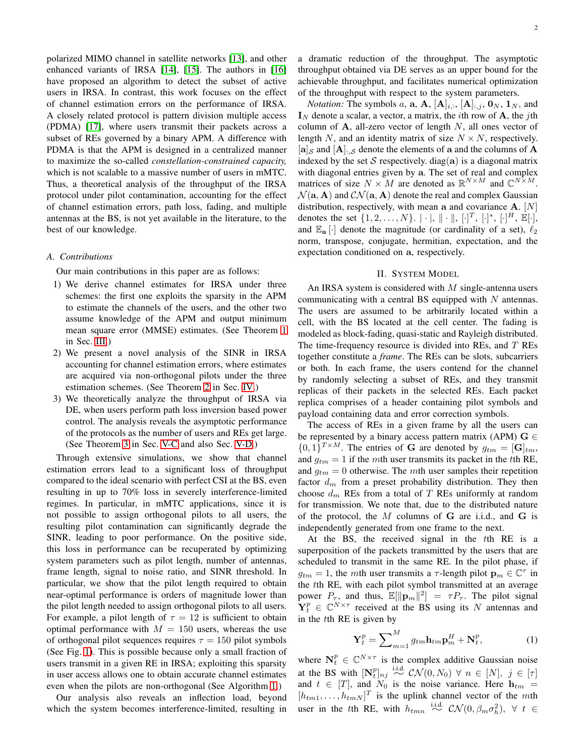polarized MIMO channel in satellite networks [\[13\]](#page-12-12), and other enhanced variants of IRSA [\[14\]](#page-12-13), [\[15\]](#page-12-14). The authors in [\[16\]](#page-12-15) have proposed an algorithm to detect the subset of active users in IRSA. In contrast, this work focuses on the effect of channel estimation errors on the performance of IRSA. A closely related protocol is pattern division multiple access (PDMA) [\[17\]](#page-12-16), where users transmit their packets across a subset of REs governed by a binary APM. A difference with PDMA is that the APM is designed in a centralized manner to maximize the so-called *constellation-constrained capacity,* which is not scalable to a massive number of users in mMTC. Thus, a theoretical analysis of the throughput of the IRSA protocol under pilot contamination, accounting for the effect of channel estimation errors, path loss, fading, and multiple antennas at the BS, is not yet available in the literature, to the best of our knowledge.

# *A. Contributions*

Our main contributions in this paper are as follows:

- 1) We derive channel estimates for IRSA under three schemes: the first one exploits the sparsity in the APM to estimate the channels of the users, and the other two assume knowledge of the APM and output minimum mean square error (MMSE) estimates. (See Theorem [1](#page-3-0) in Sec. [III.](#page-2-0))
- 2) We present a novel analysis of the SINR in IRSA accounting for channel estimation errors, where estimates are acquired via non-orthogonal pilots under the three estimation schemes. (See Theorem [2](#page-4-0) in Sec. [IV.](#page-4-1))
- 3) We theoretically analyze the throughput of IRSA via DE, when users perform path loss inversion based power control. The analysis reveals the asymptotic performance of the protocols as the number of users and REs get large. (See Theorem [3](#page-7-0) in Sec. [V-C](#page-7-1) and also Sec. [V-D.](#page-8-0))

Through extensive simulations, we show that channel estimation errors lead to a significant loss of throughput compared to the ideal scenario with perfect CSI at the BS, even resulting in up to 70% loss in severely interference-limited regimes. In particular, in mMTC applications, since it is not possible to assign orthogonal pilots to all users, the resulting pilot contamination can significantly degrade the SINR, leading to poor performance. On the positive side, this loss in performance can be recuperated by optimizing system parameters such as pilot length, number of antennas, frame length, signal to noise ratio, and SINR threshold. In particular, we show that the pilot length required to obtain near-optimal performance is orders of magnitude lower than the pilot length needed to assign orthogonal pilots to all users. For example, a pilot length of  $\tau = 12$  is sufficient to obtain optimal performance with  $M = 150$  users, whereas the use of orthogonal pilot sequences requires  $\tau = 150$  pilot symbols (See Fig. [1\)](#page-8-1). This is possible because only a small fraction of users transmit in a given RE in IRSA; exploiting this sparsity in user access allows one to obtain accurate channel estimates even when the pilots are non-orthogonal (See Algorithm [1.](#page-3-1))

Our analysis also reveals an inflection load, beyond which the system becomes interference-limited, resulting in a dramatic reduction of the throughput. The asymptotic throughput obtained via DE serves as an upper bound for the achievable throughput, and facilitates numerical optimization of the throughput with respect to the system parameters.

*Notation:* The symbols a, **a**, **A**,  $[\mathbf{A}]_{i,:}$ ,  $[\mathbf{A}]_{:j}$ ,  $\mathbf{0}_N$ ,  $\mathbf{1}_N$ , and  $I_N$  denote a scalar, a vector, a matrix, the *i*th row of **A**, the *j*th column of  $A$ , all-zero vector of length  $N$ , all ones vector of length N, and an identity matrix of size  $N \times N$ , respectively.  $[a]_{\mathcal{S}}$  and  $[A]_{\mathcal{S}}$  denote the elements of a and the columns of A indexed by the set S respectively. diag(a) is a diagonal matrix with diagonal entries given by a. The set of real and complex matrices of size  $N \times M$  are denoted as  $\mathbb{R}^{N \times M}$  and  $\mathbb{C}^{N \times M}$ .  $\mathcal{N}(\mathbf{a}, \mathbf{A})$  and  $\mathcal{CN}(\mathbf{a}, \mathbf{A})$  denote the real and complex Gaussian distribution, respectively, with mean a and covariance  $A$ . [N] denotes the set  $\{1, 2, ..., N\}$ .  $|\cdot|$ ,  $\|\cdot\|$ ,  $[\cdot]^T$ ,  $[\cdot]^*, [\cdot]^H$ ,  $\mathbb{E}[\cdot]$ , and  $\mathbb{E}_{a}[\cdot]$  denote the magnitude (or cardinality of a set),  $\ell_2$ norm, transpose, conjugate, hermitian, expectation, and the expectation conditioned on a, respectively.

# II. SYSTEM MODEL

An IRSA system is considered with  $M$  single-antenna users communicating with a central BS equipped with  $N$  antennas. The users are assumed to be arbitrarily located within a cell, with the BS located at the cell center. The fading is modeled as block-fading, quasi-static and Rayleigh distributed. The time-frequency resource is divided into REs, and  $T$  REs together constitute a *frame*. The REs can be slots, subcarriers or both. In each frame, the users contend for the channel by randomly selecting a subset of REs, and they transmit replicas of their packets in the selected REs. Each packet replica comprises of a header containing pilot symbols and payload containing data and error correction symbols.

The access of REs in a given frame by all the users can be represented by a binary access pattern matrix (APM)  $G \in$  $\{0,1\}^{T \times M}$ . The entries of G are denoted by  $g_{tm} = [\mathbf{G}]_{tm}$ , and  $g_{tm} = 1$  if the mth user transmits its packet in the tth RE, and  $g_{tm} = 0$  otherwise. The mth user samples their repetition factor  $d_m$  from a preset probability distribution. They then choose  $d_m$  REs from a total of T REs uniformly at random for transmission. We note that, due to the distributed nature of the protocol, the M columns of G are i.i.d., and G is independently generated from one frame to the next.

At the BS, the received signal in the tth RE is a superposition of the packets transmitted by the users that are scheduled to transmit in the same RE. In the pilot phase, if  $g_{tm} = 1$ , the mth user transmits a  $\tau$ -length pilot  $\mathbf{p}_m \in \mathbb{C}^{\tau}$  in the tth RE, with each pilot symbol transmitted at an average power  $P_{\tau}$ , and thus,  $\mathbb{E}[\|\mathbf{p}_m\|^2] = \tau P_{\tau}$ . The pilot signal  $\mathbf{Y}_t^p \in \mathbb{C}^{N \times \tau}$  received at the BS using its N antennas and in the tth RE is given by

$$
\mathbf{Y}_t^p = \sum\nolimits_{m=1}^M g_{tm} \mathbf{h}_{tm} \mathbf{p}_m^H + \mathbf{N}_t^p, \tag{1}
$$

where  $N_t^p \in \mathbb{C}^{N \times \tau}$  is the complex additive Gaussian noise at the BS with  $[N_t^p]_{nj}$  i.i.d.  $\mathcal{CN}(0, N_0) \forall n \in [N], j \in [\tau]$ and  $t \in [T]$ , and  $N_0$  is the noise variance. Here  $h_{tm}$  =  $[h_{tm1}, \ldots, h_{tmN}]^T$  is the uplink channel vector of the mth user in the tth RE, with  $h_{tmn} \stackrel{\text{i.i.d.}}{\sim} \mathcal{CN}(0, \beta_m \sigma_h^2), \forall t \in$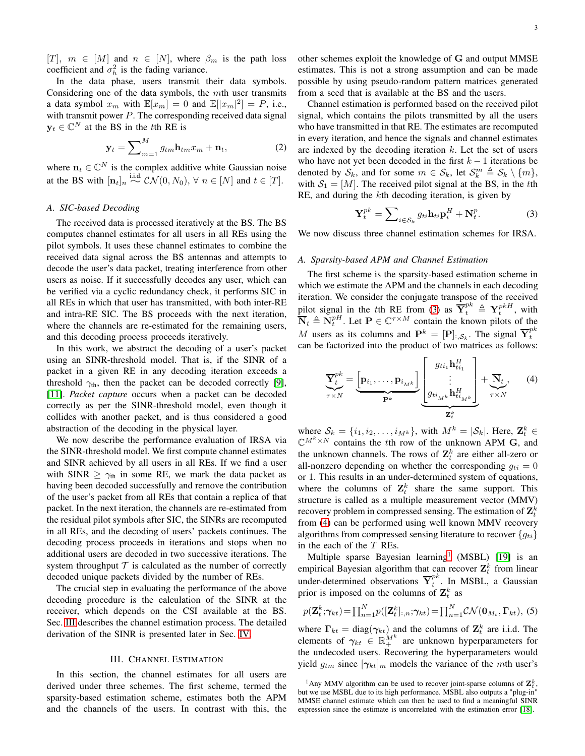$[T]$ ,  $m \in [M]$  and  $n \in [N]$ , where  $\beta_m$  is the path loss coefficient and  $\sigma_h^2$  is the fading variance.

In the data phase, users transmit their data symbols. Considering one of the data symbols, the mth user transmits a data symbol  $x_m$  with  $\mathbb{E}[x_m] = 0$  and  $\mathbb{E}[|x_m|^2] = P$ , i.e., with transmit power  $P$ . The corresponding received data signal  $y_t \in \mathbb{C}^N$  at the BS in the t<sup>th</sup> RE is

$$
\mathbf{y}_t = \sum_{m=1}^{M} g_{tm} \mathbf{h}_{tm} x_m + \mathbf{n}_t, \tag{2}
$$

where  $\mathbf{n}_t \in \mathbb{C}^N$  is the complex additive white Gaussian noise at the BS with  $[\mathbf{n}_t]_n \stackrel{\text{i.i.d.}}{\sim} C\mathcal{N}(0, N_0), \forall n \in [N]$  and  $t \in [T]$ .

## <span id="page-2-5"></span>*A. SIC-based Decoding*

The received data is processed iteratively at the BS. The BS computes channel estimates for all users in all REs using the pilot symbols. It uses these channel estimates to combine the received data signal across the BS antennas and attempts to decode the user's data packet, treating interference from other users as noise. If it successfully decodes any user, which can be verified via a cyclic redundancy check, it performs SIC in all REs in which that user has transmitted, with both inter-RE and intra-RE SIC. The BS proceeds with the next iteration, where the channels are re-estimated for the remaining users, and this decoding process proceeds iteratively.

In this work, we abstract the decoding of a user's packet using an SINR-threshold model. That is, if the SINR of a packet in a given RE in any decoding iteration exceeds a threshold  $\gamma_{th}$ , then the packet can be decoded correctly [\[9\]](#page-12-8), [\[11\]](#page-12-10). *Packet capture* occurs when a packet can be decoded correctly as per the SINR-threshold model, even though it collides with another packet, and is thus considered a good abstraction of the decoding in the physical layer.

We now describe the performance evaluation of IRSA via the SINR-threshold model. We first compute channel estimates and SINR achieved by all users in all REs. If we find a user with SINR  $\geq \gamma_{th}$  in some RE, we mark the data packet as having been decoded successfully and remove the contribution of the user's packet from all REs that contain a replica of that packet. In the next iteration, the channels are re-estimated from the residual pilot symbols after SIC, the SINRs are recomputed in all REs, and the decoding of users' packets continues. The decoding process proceeds in iterations and stops when no additional users are decoded in two successive iterations. The system throughput  $T$  is calculated as the number of correctly decoded unique packets divided by the number of REs.

The crucial step in evaluating the performance of the above decoding procedure is the calculation of the SINR at the receiver, which depends on the CSI available at the BS. Sec. [III](#page-2-0) describes the channel estimation process. The detailed derivation of the SINR is presented later in Sec. [IV.](#page-4-1)

#### III. CHANNEL ESTIMATION

<span id="page-2-0"></span>In this section, the channel estimates for all users are derived under three schemes. The first scheme, termed the sparsity-based estimation scheme, estimates both the APM and the channels of the users. In contrast with this, the other schemes exploit the knowledge of G and output MMSE estimates. This is not a strong assumption and can be made possible by using pseudo-random pattern matrices generated from a seed that is available at the BS and the users.

<span id="page-2-4"></span>Channel estimation is performed based on the received pilot signal, which contains the pilots transmitted by all the users who have transmitted in that RE. The estimates are recomputed in every iteration, and hence the signals and channel estimates are indexed by the decoding iteration  $k$ . Let the set of users who have not yet been decoded in the first  $k - 1$  iterations be denoted by  $S_k$ , and for some  $m \in S_k$ , let  $S_k^m \triangleq S_k \setminus \{m\},$ with  $S_1 = [M]$ . The received pilot signal at the BS, in the tth RE, and during the kth decoding iteration, is given by

<span id="page-2-1"></span>
$$
\mathbf{Y}_t^{pk} = \sum\nolimits_{i \in \mathcal{S}_k} g_{ti} \mathbf{h}_{ti} \mathbf{p}_i^H + \mathbf{N}_t^p. \tag{3}
$$

We now discuss three channel estimation schemes for IRSA.

# *A. Sparsity-based APM and Channel Estimation*

The first scheme is the sparsity-based estimation scheme in which we estimate the APM and the channels in each decoding iteration. We consider the conjugate transpose of the received pilot signal in the tth RE from [\(3\)](#page-2-1) as  $\overline{\mathbf{Y}}_t^{pk} \triangleq \mathbf{Y}_t^{pkH}$ , with  $\overline{\mathbf{N}}_t \triangleq \overline{\mathbf{N}}_t^{pH}$ . Let  $\mathbf{P} \in \mathbb{C}^{\tau \times M}$  contain the known pilots of the M users as its columns and  $\mathbf{P}^k = [\mathbf{P}]_{:, \mathcal{S}_k}$ . The signal  $\overline{\mathbf{Y}}_t^{pk}$ t can be factorized into the product of two matrices as follows:

<span id="page-2-2"></span>
$$
\underbrace{\overline{\mathbf{Y}}_t^{pk}}_{\tau \times N} = \underbrace{\begin{bmatrix} \mathbf{p}_{i_1}, \dots, \mathbf{p}_{i_{Mk}} \end{bmatrix}}_{\mathbf{P}^k} \underbrace{\begin{bmatrix} g_{ti_1} \mathbf{h}_{ti_1}^H \\ \vdots \\ g_{ti_{Mk}} \mathbf{h}_{ti_{Mk}}^H \end{bmatrix}}_{\mathbf{Z}_t^k} + \underbrace{\overline{\mathbf{N}}_t}_{\tau \times N}, \qquad (4)
$$

where  $S_k = \{i_1, i_2, \ldots, i_{M^k}\}\$ , with  $M^k = |\mathcal{S}_k|$ . Here,  $\mathbf{Z}_t^k \in \mathbb{R}$  $\mathbb{C}^{M^k \times N}$  contains the tth row of the unknown APM G, and the unknown channels. The rows of  $\mathbf{Z}_t^k$  are either all-zero or all-nonzero depending on whether the corresponding  $g_{ti} = 0$ or 1. This results in an under-determined system of equations, where the columns of  $\mathbf{Z}_t^k$  share the same support. This structure is called as a multiple measurement vector (MMV) recovery problem in compressed sensing. The estimation of  $\mathbf{Z}_{t}^{k}$ from [\(4\)](#page-2-2) can be performed using well known MMV recovery algorithms from compressed sensing literature to recover  ${q_{ti}}$ in the each of the T REs.

Multiple sparse Bayesian learning<sup>[1](#page-2-3)</sup> (MSBL) [\[19\]](#page-12-17) is an empirical Bayesian algorithm that can recover  $\mathbf{Z}_t^k$  from linear under-determined observations  $\overline{Y}_t^{pk}$  $t^{m}$ . In MSBL, a Gaussian prior is imposed on the columns of  $\mathbf{Z}_t^k$  as

$$
p(\mathbf{Z}_t^k; \boldsymbol{\gamma}_{kt}) = \prod_{n=1}^N p([\mathbf{Z}_t^k]_{:,n}; \boldsymbol{\gamma}_{kt}) = \prod_{n=1}^N \mathcal{CN}(\mathbf{0}_{M_t}, \mathbf{\Gamma}_{kt}),
$$
(5)

where  $\Gamma_{kt} = \text{diag}(\gamma_{kt})$  and the columns of  $\mathbf{Z}_t^k$  are i.i.d. The elements of  $\gamma_{kt} \in \mathbb{R}_+^{M^k}$  are unknown hyperparameters for the undecoded users. Recovering the hyperparameters would yield  $g_{tm}$  since  $[\gamma_{kt}]_m$  models the variance of the mth user's

<span id="page-2-3"></span><sup>&</sup>lt;sup>1</sup>Any MMV algorithm can be used to recover joint-sparse columns of  $\mathbf{Z}_t^k$ , but we use MSBL due to its high performance. MSBL also outputs a "plug-in" MMSE channel estimate which can then be used to find a meaningful SINR expression since the estimate is uncorrelated with the estimation error [\[18\]](#page-12-18).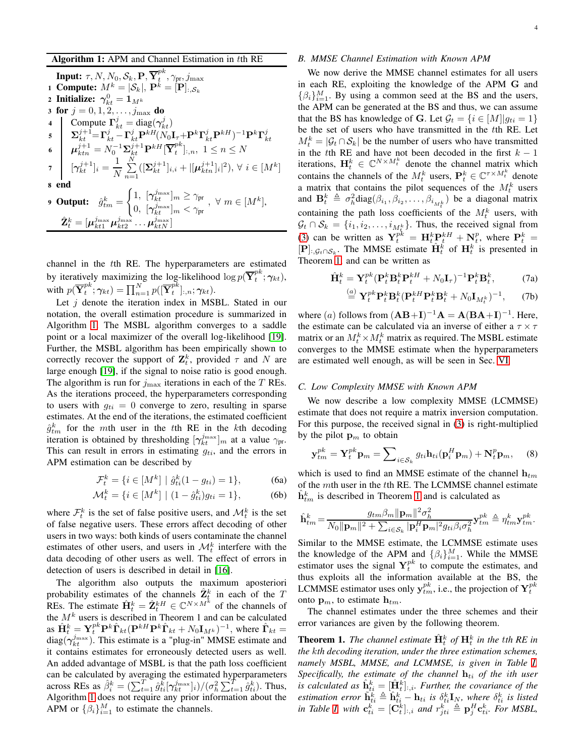Algorithm 1: APM and Channel Estimation in tth RE

**Input:**  $\tau$ , N, N<sub>0</sub>, S<sub>k</sub>, **P**,  $\overline{\mathbf{Y}}_t^{pk}$  $t^{P^{\bm{n}}}, \gamma_{\text{pr}}, j_{\text{max}}$ 1 Compute:  $M^k = |\mathcal{S}_k|, \mathbf{P}^k = [\mathbf{P}]_{:, \mathcal{S}_k}$ 2 Initialize:  $\gamma_{kt}^0 = \mathbf{1}_{M^k}$ 3 for  $j = 0, 1, 2, \ldots, j_{\text{max}}$  do 4 Compute  $\Gamma_{kt}^j = \text{diag}(\gamma_{kt}^j)$  $\mathbf{S} \quad \bigg| \quad \mathbf{\Sigma}_{kt}^{j+1}\!\!=\!\mathbf{\Gamma}_{kt}^{j}\!-\!\mathbf{\Gamma}_{kt}^{j}\mathbf{P}^{kH}\!(N_0\mathbf{I}_{\tau}\!\!+\!\mathbf{P}^{k}\mathbf{\Gamma}_{kt}^{j}\mathbf{P}^{kH})^{-1}\mathbf{P}^{k}\mathbf{\Gamma}_{kt}^{j}$  $\boldsymbol{\mu}_{ktn}^{j+1} = N_0^{-1}\boldsymbol{\Sigma}_{kt}^{j+1}\mathbf{P}^{kH}[\overline{\mathbf{Y}}_t^{pk}]$  $_{t}^{\mu n}]_{:,n},\;1\leq n\leq N$  $\sigma$   $[\gamma_{kt}^{j+1}]_i = \frac{1}{N} \sum_{n=1}^{N}$  $1 \leftarrow N$  $\sum_{n=1}^{N}([\Sigma_{kt}^{j+1}]_{i,i}+|[\mu_{ktn}^{j+1}]_i|^2), \forall i \in [M^k]$ 8 end 9 Output:  $\hat{g}^k_{tm} =$  $\int 1, \; [\boldsymbol{\gamma}^{j_{\max}}_{kt}]_m \geq \gamma_{\text{pr}}$  $\frac{1}{N}$ ,  $\frac{1}{k}$   $\frac{1}{k}$   $\frac{1}{m}$   $\leq$   $\frac{1}{N}$   $\frac{1}{m}$   $\leq$   $\frac{1}{N}$   $\frac{1}{N}$   $\leq$   $\frac{1}{N}$   $\frac{1}{N}$   $\leq$   $\frac{1}{N}$   $\frac{1}{N}$   $\leq$   $\frac{1}{N}$   $\frac{1}{N}$   $\leq$   $\frac{1}{N}$   $\leq$   $\frac{1}{N}$   $\leq$   $\frac{1}{N}$   $\$  $\hat{\mathbf{Z}}_t^k = [\boldsymbol{\mu}_{kt1}^{j_{\max}} \boldsymbol{\mu}_{kt2}^{j_{\max}} \dots \boldsymbol{\mu}_{ktN}^{j_{\max}}]$ 

<span id="page-3-1"></span>channel in the tth RE. The hyperparameters are estimated by iteratively maximizing the log-likelihood  $\log p(\overline{Y}_t^{pk})$  $t^{p n}; \boldsymbol{\gamma}_{k t}),$ with  $p(\overline{Y}_t^{pk})$  $t^{pk};\boldsymbol{\gamma}_{kt})=\prod_{n=1}^{N}p([\overline{\mathbf{Y}}_{t}^{pk}% (\mathbf{x}_{t}^{\top})^{pk}])=\prod_{n=1}^{N}p(\overline{\mathbf{Y}}_{t}^{pk}% (\mathbf{x}_{t}^{\top})^{p}$  $_{t}^{P^{n}}]_{:,n};\boldsymbol{\gamma}_{kt}).$ 

Let  $j$  denote the iteration index in MSBL. Stated in our notation, the overall estimation procedure is summarized in Algorithm [1.](#page-3-1) The MSBL algorithm converges to a saddle point or a local maximizer of the overall log-likelihood [\[19\]](#page-12-17). Further, the MSBL algorithm has been empirically shown to correctly recover the support of  $\mathbf{Z}_t^k$ , provided  $\tau$  and  $N$  are large enough [\[19\]](#page-12-17), if the signal to noise ratio is good enough. The algorithm is run for  $j_{\text{max}}$  iterations in each of the T REs. As the iterations proceed, the hyperparameters corresponding to users with  $q_{ti} = 0$  converge to zero, resulting in sparse estimates. At the end of the iterations, the estimated coefficient  $\hat{g}^{k}_{tm}$  for the mth user in the tth RE in the kth decoding iteration is obtained by thresholding  $[\gamma_{kt}^{j_{\text{max}}}]_m$  at a value  $\gamma_{\text{pr}}$ . This can result in errors in estimating  $g_{ti}$ , and the errors in APM estimation can be described by

$$
\mathcal{F}_t^k = \{ i \in [M^k] \mid \hat{g}_{ti}^k (1 - g_{ti}) = 1 \},\tag{6a}
$$

$$
\mathcal{M}_t^k = \{ i \in [M^k] \mid (1 - \hat{g}_{ti}^k) g_{ti} = 1 \},\tag{6b}
$$

where  $\mathcal{F}_t^k$  is the set of false positive users, and  $\mathcal{M}_t^k$  is the set of false negative users. These errors affect decoding of other users in two ways: both kinds of users contaminate the channel estimates of other users, and users in  $\mathcal{M}_t^k$  interfere with the data decoding of other users as well. The effect of errors in detection of users is described in detail in [\[16\]](#page-12-15).

The algorithm also outputs the maximum aposteriori probability estimates of the channels  $\hat{\mathbf{Z}}_t^k$  in each of the T REs. The estimate  $\hat{\mathbf{H}}_t^k = \hat{\mathbf{Z}}_t^{kH} \in \mathbb{C}^{N \times M^k}$  of the channels of the  $M<sup>k</sup>$  users is described in Theorem 1 and can be calculated as  $\hat{\mathbf{H}}_t^k = \mathbf{Y}_t^{pk} \mathbf{P}^k \hat{\mathbf{\Gamma}}_{kt} (\mathbf{P}^{kH} \mathbf{P}^k \hat{\mathbf{\Gamma}}_{kt} + N_0 \mathbf{I}_{M^k})^{-1}$ , where  $\hat{\mathbf{\Gamma}}_{kt} =$ diag( $\gamma_{kt}^{j_{\text{max}}}$ ). This estimate is a "plug-in" MMSE estimate and it contains estimates for erroneously detected users as well. An added advantage of MSBL is that the path loss coefficient can be calculated by averaging the estimated hyperparameters across REs as  $\hat{\beta}_i^k = \left(\sum_{t=1}^T \hat{g}_{ti}^k [\gamma_{kt}^{j_{\text{max}}}]_i \right) / (\sigma_h^2 \sum_{t=1}^T \hat{g}_{ti}^k)$ . Thus, Algorithm [1](#page-3-1) does not require any prior information about the APM or  $\{\beta_i\}_{i=1}^M$  to estimate the channels.

# *B. MMSE Channel Estimation with Known APM*

We now derive the MMSE channel estimates for all users in each RE, exploiting the knowledge of the APM G and  $\{\beta_i\}_{i=1}^M$ . By using a common seed at the BS and the users, the APM can be generated at the BS and thus, we can assume that the BS has knowledge of G. Let  $\mathcal{G}_t = \{i \in [M]| g_{ti} = 1\}$ be the set of users who have transmitted in the tth RE. Let  $M_t^k = |\mathcal{G}_t \cap \mathcal{S}_k|$  be the number of users who have transmitted in the tth RE and have not been decoded in the first  $k - 1$ iterations,  $\mathbf{H}_t^k \in \mathbb{C}^{N \times M_t^k}$  denote the channel matrix which contains the channels of the  $M_t^k$  users,  $\mathbf{P}_t^k \in \mathbb{C}^{\tau \times M_t^k}$  denote a matrix that contains the pilot sequences of the  $M_t^k$  users and  $\mathbf{B}_t^k \triangleq \sigma_h^2 \text{diag}(\beta_{i_1}, \beta_{i_2}, \dots, \beta_{i_{M_t^k}})$  be a diagonal matrix containing the path loss coefficients of the  $M_t^k$  users, with  $\mathcal{G}_t \cap \mathcal{S}_k = \{i_1, i_2, \dots, i_{M^K_{\xi}}\}.$  Thus, the received signal from [\(3\)](#page-2-1) can be written as  $Y_t^{pk} = \mathbf{H}_t^k \mathbf{P}_t^{kH} + \mathbf{N}_t^p$ , where  $\mathbf{P}_t^k =$  $[P]_{:,G_t \cap S_k}$ . The MMSE estimate  $\hat{H}_t^k$  of  $H_t^k$  is presented in Theorem [1,](#page-3-0) and can be written as

$$
\hat{\mathbf{H}}_t^k = \mathbf{Y}_t^{pk} (\mathbf{P}_t^k \mathbf{B}_t^k \mathbf{P}_t^{kH} + N_0 \mathbf{I}_\tau)^{-1} \mathbf{P}_t^k \mathbf{B}_t^k, \tag{7a}
$$

$$
\stackrel{(a)}{=} \mathbf{Y}_t^{pk} \mathbf{P}_t^k \mathbf{B}_t^k (\mathbf{P}_t^{kH} \mathbf{P}_t^k \mathbf{B}_t^k + N_0 \mathbf{I}_{M_t^k})^{-1}, \qquad (7b)
$$

where  $(a)$  follows from  $(AB+I)^{-1}A = A(BA+I)^{-1}$ . Here, the estimate can be calculated via an inverse of either a  $\tau \times \tau$ matrix or an  $M_t^k \times M_t^k$  matrix as required. The MSBL estimate converges to the MMSE estimate when the hyperparameters are estimated well enough, as will be seen in Sec. [VI.](#page-8-2)

#### *C. Low Complexity MMSE with Known APM*

We now describe a low complexity MMSE (LCMMSE) estimate that does not require a matrix inversion computation. For this purpose, the received signal in [\(3\)](#page-2-1) is right-multiplied by the pilot  $\mathbf{p}_m$  to obtain

<span id="page-3-2"></span>
$$
\mathbf{y}_{tm}^{pk} = \mathbf{Y}_t^{pk} \mathbf{p}_m = \sum_{i \in \mathcal{S}_k} g_{ti} \mathbf{h}_{ti} (\mathbf{p}_i^H \mathbf{p}_m) + \mathbf{N}_t^p \mathbf{p}_m, \quad (8)
$$

which is used to find an MMSE estimate of the channel  $h_{tm}$ of the mth user in the tth RE. The LCMMSE channel estimate  $\hat{\mathbf{h}}_{tm}^k$  is described in Theorem [1](#page-3-0) and is calculated as

$$
\hat{\mathbf{h}}_{tm}^k = \frac{g_{tm}\beta_m \|\mathbf{p}_m\|^2 \sigma_h^2}{N_0 \|\mathbf{p}_m\|^2 + \sum_{i \in \mathcal{S}_k} |\mathbf{p}_i^H \mathbf{p}_m|^2 g_{ti} \beta_i \sigma_h^2} \mathbf{y}_{tm}^{pk} \triangleq \eta_{tm}^k \mathbf{y}_{tm}^{pk}.
$$

Similar to the MMSE estimate, the LCMMSE estimate uses the knowledge of the APM and  $\{\beta_i\}_{i=1}^M$ . While the MMSE estimator uses the signal  $Y_t^{pk}$  to compute the estimates, and thus exploits all the information available at the BS, the LCMMSE estimator uses only  $y_{tm}^{pk}$ , i.e., the projection of  $\mathbf{Y}_{t}^{pk}$ onto  $\mathbf{p}_m$ , to estimate  $\mathbf{h}_{tm}$ .

The channel estimates under the three schemes and their error variances are given by the following theorem.

<span id="page-3-0"></span>**Theorem 1.** The channel estimate  $\hat{\mathbf{H}}_t^k$  of  $\mathbf{H}_t^k$  in the tth RE in *the* k*th decoding iteration, under the three estimation schemes, namely MSBL, MMSE, and LCMMSE, is given in Table [I.](#page-4-2) Specifically, the estimate of the channel*  $h_{ti}$  *of the ith user* is calculated as  $\hat{\mathbf{h}}_{ti}^k = [\hat{\mathbf{H}}_t^k]_{:,i}$ . Further, the covariance of the *estimation error*  $\tilde{\mathbf{h}}_{ti}^k \triangleq \hat{\mathbf{h}}_{ti}^k - \mathbf{h}_{ti}$  *is*  $\delta_{ti}^k \mathbf{I}_N$ *, where*  $\delta_{ti}^k$  *is listed* in Table *I*, with  $\mathbf{c}_{ti}^{\vec{k}} = [\mathbf{C}_{t}^{\vec{k}}]_{:,i}$  and  $r_{jti}^{\vec{k}} \triangleq \mathbf{p}_{j}^{H} \mathbf{c}_{ti}^{\vec{k}}$ . For MSBL,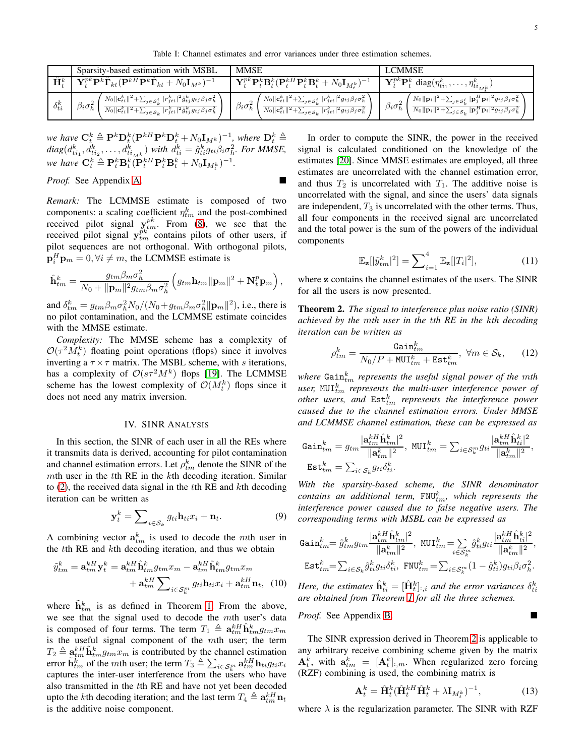Table I: Channel estimates and error variances under three estimation schemes.

<span id="page-4-2"></span>

|                  | Sparsity-based estimation with MSBL                                                                                                                                                                                                                                                           | <b>MMSE</b>                                                                                                                                                                                                                                                                 | LCMMSE                                                                                                                                                                                                                                                                                            |
|------------------|-----------------------------------------------------------------------------------------------------------------------------------------------------------------------------------------------------------------------------------------------------------------------------------------------|-----------------------------------------------------------------------------------------------------------------------------------------------------------------------------------------------------------------------------------------------------------------------------|---------------------------------------------------------------------------------------------------------------------------------------------------------------------------------------------------------------------------------------------------------------------------------------------------|
| $\mathbf{H}^k_i$ | $\begin{aligned} \mathbf{1} \ \overline{\mathbf{Y}_t^{pk}\mathbf{P}^k \hat{\boldsymbol{\Gamma}}_{kt}}(\mathbf{P}^{kH}\mathbf{P}^k \hat{\boldsymbol{\Gamma}}_{kt} + N_0 \mathbf{I}_{M^k})^{-1} \end{aligned}$                                                                                  | $\mathbf{Y}^{pk}_{t}\mathbf{P}^k_{t}\mathbf{B}^k_{t}(\mathbf{P}^{kH}_{t}\mathbf{P}^k_{t}\mathbf{B}^k_{t} + N_0\mathbf{I}_{M^k_{t}})^{-1}$                                                                                                                                   | $\mathbf{Y}_t^{pk} \mathbf{P}_t^k$ diag $(\eta_{ti_1}^k, \ldots, \eta_{ti_{Mk}}^k)$                                                                                                                                                                                                               |
| $\delta_{ti}^k$  | $\left\{ N_{0} \ c_{ti}^{k}\ ^{2}+\sum_{j \in S_{k}^{i}}  r_{jti}^{k} ^{2} \hat{g}_{tj}^{k} g_{tj} \beta_{j} \sigma_{h}^{2} \right\}$<br>$\beta_i \sigma_h^2$<br>$\overline{N_0 \ \mathbf{c}_{ti}^k\ ^2 + \sum_{j \in \mathcal{S}_k}  r_{jti}^k ^2 \hat{g}_{tj}^k g_{tj} \beta_j \sigma_h^2}$ | $\left\langle N_{0}\ \mathbf{c}_{ti}^{k}\ ^{2}+\sum_{j\in\mathcal{S}_{k}^{i}} r_{jti}^{k} ^{2}g_{tj}\beta_{j}\sigma_{h}^{2}\right\rangle$<br>$\beta_i \sigma_h^2$<br>$\ N_0\  \mathbf{c}_{ti}^k\ ^2 + \sum_{j \in \mathcal{S}_k}  r_{jti}^k ^2 g_{tj} \beta_j \sigma_h^2\ $ | $\int N_0 \ \mathbf{p}_i\ ^2 + \sum_{j \in \mathcal{S}_k^i}  \mathbf{p}_j^H \mathbf{p}_i ^2 g_{tj} \beta_j \sigma_h^2 \ \sqrt{ \frac{2}{\  \mathbf{p}_i \ ^2} }$<br>$\beta_i \sigma_h^2$<br>$N_0 \ \mathbf{p}_i\ ^2 + \sum_{j \in S_k}  \mathbf{p}_j^H \mathbf{p}_i ^2 g_{tj} \beta_j \sigma_h^2$ |

*we have*  $\mathbf{C}_t^k \triangleq \mathbf{P}^k \mathbf{D}_t^k (\mathbf{P}^{kH} \mathbf{P}^k \mathbf{D}_t^k + N_0 \mathbf{I}_{M^k})^{-1}$ *, where*  $\mathbf{D}_t^k \triangleq$  $diag(d_{ti_1}^k, d_{ti_2}^k, \ldots, d_{ti_{Mk}}^k)$  *with*  $d_{ti}^k = \hat{g}_{ti}^k g_{ti} \beta_i \sigma_h^2$ . For MMSE, *we have*  $\mathbf{C}_t^k \triangleq \mathbf{P}_t^k \mathbf{B}_t^k (\mathbf{P}_t^{kH} \mathbf{P}_t^k \mathbf{B}_t^k + N_0 \mathbf{I}_{M_t^k})^{-1}$ .

*Proof.* See Appendix [A.](#page-13-0)

*Remark:* The LCMMSE estimate is composed of two components: a scaling coefficient  $\eta_{tm}^k$  and the post-combined received pilot signal  $y_{tm}^{pk}$ . From [\(8\)](#page-3-2), we see that the received pilot signal  $y_{tm}^{pk}$  contains pilots of other users, if pilot sequences are not orthogonal. With orthogonal pilots,  $\mathbf{p}_i^H \mathbf{p}_m = 0, \forall i \neq m$ , the LCMMSE estimate is

$$
\hat{\mathbf{h}}_{tm}^k = \frac{g_{tm}\beta_m\sigma_h^2}{N_0 + \|\mathbf{p}_m\|^2 g_{tm}\beta_m\sigma_h^2} \left( g_{tm}\mathbf{h}_{tm}\|\mathbf{p}_m\|^2 + \mathbf{N}_t^p \mathbf{p}_m \right),
$$

and  $\delta_{tm}^k = g_{tm}\beta_m\sigma_h^2 N_0/(N_0+g_{tm}\beta_m\sigma_h^2||\mathbf{p}_m||^2)$ , i.e., there is no pilot contamination, and the LCMMSE estimate coincides with the MMSE estimate.

*Complexity:* The MMSE scheme has a complexity of  $\mathcal{O}(\tau^2 M_t^k)$  floating point operations (flops) since it involves inverting a  $\tau \times \tau$  matrix. The MSBL scheme, with s iterations, has a complexity of  $\mathcal{O}(s\tau^2M^k)$  flops [\[19\]](#page-12-17). The LCMMSE scheme has the lowest complexity of  $\mathcal{O}(M_t^k)$  flops since it does not need any matrix inversion.

# IV. SINR ANALYSIS

<span id="page-4-1"></span>In this section, the SINR of each user in all the REs where it transmits data is derived, accounting for pilot contamination and channel estimation errors. Let  $\rho_{tm}^k$  denote the SINR of the mth user in the tth RE in the kth decoding iteration. Similar to [\(2\)](#page-2-4), the received data signal in the tth RE and kth decoding iteration can be written as

$$
\mathbf{y}_t^k = \sum_{i \in \mathcal{S}_k} g_{ti} \mathbf{h}_{ti} x_i + \mathbf{n}_t. \tag{9}
$$

A combining vector  $a_{tm}^k$  is used to decode the mth user in the tth RE and kth decoding iteration, and thus we obtain

$$
\tilde{y}_{tm}^k = \mathbf{a}_{tm}^{kH} \mathbf{y}_t^k = \mathbf{a}_{tm}^{kH} \hat{\mathbf{h}}_{tm}^k g_{tm} x_m - \mathbf{a}_{tm}^{kH} \tilde{\mathbf{h}}_{tm}^k g_{tm} x_m
$$

$$
+ \mathbf{a}_{tm}^{kH} \sum_{i \in \mathcal{S}_k^m} g_{ti} \mathbf{h}_{ti} x_i + \mathbf{a}_{tm}^{kH} \mathbf{n}_t, \tag{10}
$$

where  $\tilde{\mathbf{h}}_{tm}^k$  is as defined in Theorem [1.](#page-3-0) From the above, we see that the signal used to decode the mth user's data is composed of four terms. The term  $T_1 \triangleq \mathbf{a}_{tm}^{kH} \hat{\mathbf{h}}_{tm}^k g_{tm} x_m$ is the useful signal component of the mth user; the term  $T_2 \triangleq \underline{a}_{tm}^{k} \tilde{\mathbf{h}}_{tm}^k g_{tm} x_m$  is contributed by the channel estimation error  $\tilde{\mathbf{h}}_{tm}^k$  of the *mth* user; the term  $T_3 \triangleq \sum_{i \in \mathcal{S}_k^m} \mathbf{a}_{tm}^{kH} \mathbf{h}_{ti} g_{ti} x_i$ captures the inter-user interference from the users who have also transmitted in the tth RE and have not yet been decoded upto the *k*th decoding iteration; and the last term  $T_4 \triangleq \mathbf{a}_{tm}^{kH} \mathbf{n}_t$ is the additive noise component.

In order to compute the SINR, the power in the received signal is calculated conditioned on the knowledge of the estimates [\[20\]](#page-12-19). Since MMSE estimates are employed, all three estimates are uncorrelated with the channel estimation error, and thus  $T_2$  is uncorrelated with  $T_1$ . The additive noise is uncorrelated with the signal, and since the users' data signals are independent,  $T_3$  is uncorrelated with the other terms. Thus, all four components in the received signal are uncorrelated and the total power is the sum of the powers of the individual components

<span id="page-4-3"></span>
$$
\mathbb{E}_{\mathbf{z}}[|\tilde{y}_{tm}^k|^2] = \sum_{i=1}^4 \mathbb{E}_{\mathbf{z}}[|T_i|^2],\tag{11}
$$

where z contains the channel estimates of the users. The SINR for all the users is now presented.

<span id="page-4-0"></span>Theorem 2. *The signal to interference plus noise ratio (SINR) achieved by the* m*th user in the* t*th RE in the* k*th decoding iteration can be written as*

$$
\rho_{tm}^k = \frac{\text{Gain}_{tm}^k}{N_0/P + \text{MUI}_{tm}^k + \text{Est}_{tm}^k}, \ \forall m \in \mathcal{S}_k,
$$
 (12)

 $\nu$  where  $\mathtt{Gain}_{tm}^k$  *represents the useful signal power of the mth* user,  $\texttt{MUI}_{tm}^k$  *represents the multi-user interference power of*  $other$  users, and  $Est<sup>k</sup><sub>tm</sub>$  represents the interference power *caused due to the channel estimation errors. Under MMSE and LCMMSE channel estimation, these can be expressed as*

$$
\begin{aligned} \mathtt{Gain}^k_{tm} &= g_{tm} \frac{|\mathbf{a}^{kH}_{tm}\hat{\mathbf{h}}^k_{tm}|^2}{\|\mathbf{a}^k_{tm}\|^2}, \ \mathtt{MUI}^k_{tm} = \sum_{i \in \mathcal{S}^m_k} g_{ti} \frac{|\mathbf{a}^{kH}_{tm}\hat{\mathbf{h}}^k_{ti}|^2}{\|\mathbf{a}^k_{tm}\|^2}, \\ \mathtt{Est}^k_{tm} &= \sum_{i \in \mathcal{S}_k} g_{ti} \delta^k_{ti}. \end{aligned}
$$

*With the sparsity-based scheme, the SINR denominator*  $\emph{contains}$  an additional term,  $\texttt{FNU}^k_{tm},$  which represents the *interference power caused due to false negative users. The corresponding terms with MSBL can be expressed as*

$$
\begin{aligned} \text{Gain}^k_{tm} &= \hat{g}^k_{tm}g_{tm}\frac{|\mathbf{a}^{kH}_{tm}\hat{\mathbf{h}}^k_{tm}|^2}{\|\mathbf{a}^k_{tm}\|^2}, \ \ \text{MUL}^k_{tm} &= \sum_{i\in \mathcal{S}^m_k}\hat{g}^k_{ti}g_{ti}\frac{|\mathbf{a}^{kH}_{tm}\hat{\mathbf{h}}^k_{ti}|^2}{\|\mathbf{a}^k_{tm}\|^2},\\ \text{Est}^k_{tm} &= \sum_{i\in \mathcal{S}_k}\hat{g}^k_{ti}g_{ti}\delta^k_{ti}, \ \ \text{FNU}^k_{tm} &= \sum_{i\in \mathcal{S}^m_k}(1-\hat{g}^k_{ti})g_{ti}\beta_i\sigma^2_h. \end{aligned}
$$

Here, the estimates  $\hat{\mathbf{h}}_{ti}^k = [\hat{\mathbf{H}}_t^k]_{:,i}$  and the error variances  $\delta_{ti}^k$ *are obtained from Theorem [1](#page-3-0) for all the three schemes.*

*Proof.* See Appendix [B.](#page-14-0)

The SINR expression derived in Theorem [2](#page-4-0) is applicable to any arbitrary receive combining scheme given by the matrix  $A_t^k$ , with  $a_{tm}^k = [A_t^k]_{:,m}$ . When regularized zero forcing (RZF) combining is used, the combining matrix is

$$
\mathbf{A}_t^k = \hat{\mathbf{H}}_t^k (\hat{\mathbf{H}}_t^{kH} \hat{\mathbf{H}}_t^k + \lambda \mathbf{I}_{M_t^k})^{-1},\tag{13}
$$

where  $\lambda$  is the regularization parameter. The SINR with RZF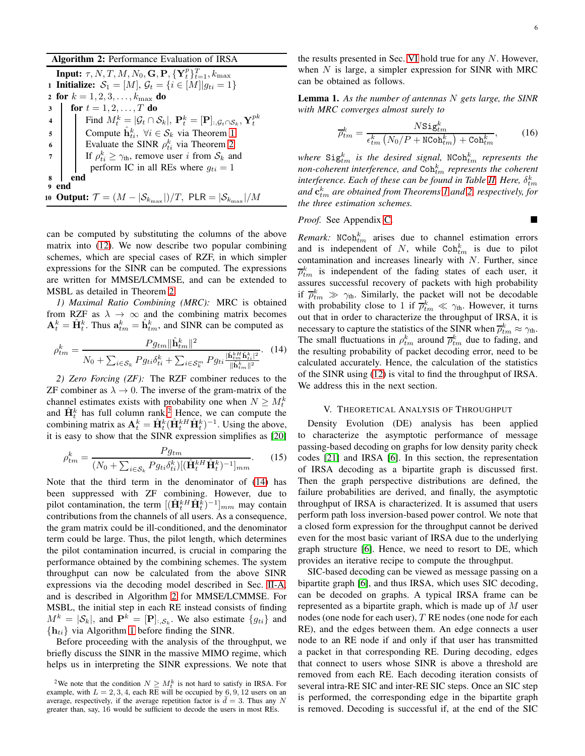Algorithm 2: Performance Evaluation of IRSA

| <b>Input:</b> $\tau$ , N, T, M, N <sub>0</sub> , <b>G</b> , <b>P</b> , $\{Y_t^p\}_{t=1}^T$ , $k_{\text{max}}$ |                                                                                                                                                |  |  |  |  |
|---------------------------------------------------------------------------------------------------------------|------------------------------------------------------------------------------------------------------------------------------------------------|--|--|--|--|
| 1 <b>Initialize:</b> $S_1 = [M], G_t = \{i \in [M] g_{ti} = 1\}$                                              |                                                                                                                                                |  |  |  |  |
| 2 for $k = 1, 2, 3, , k_{\text{max}}$ do                                                                      |                                                                                                                                                |  |  |  |  |
| $3-1$                                                                                                         | for $t = 1, 2, , T$ do                                                                                                                         |  |  |  |  |
|                                                                                                               | Find $M_t^k =  \mathcal{G}_t \cap \mathcal{S}_k , \mathbf{P}_t^k = [\mathbf{P}]_{:, \mathcal{G}_t \cap \mathcal{S}_k}, \mathbf{Y}_t^{pk}$<br>4 |  |  |  |  |
| $5^{\circ}$                                                                                                   | Compute $\hat{\mathbf{h}}_{t_i}^k$ , $\forall i \in \mathcal{S}_k$ via Theorem 1                                                               |  |  |  |  |
| $\overline{6}$                                                                                                |                                                                                                                                                |  |  |  |  |
|                                                                                                               | 6   Evaluate the SINR $\rho_{ti}^k$ via Theorem 2<br>7   If $\rho_{ti}^k \geq \gamma_{th}$ , remove user <i>i</i> from $S_k$ and               |  |  |  |  |
|                                                                                                               | perform IC in all REs where $g_{ti} = 1$                                                                                                       |  |  |  |  |
| end<br>8                                                                                                      |                                                                                                                                                |  |  |  |  |
| <sub>9</sub> end                                                                                              |                                                                                                                                                |  |  |  |  |
| 10 Output: $\mathcal{T} = (M -  \mathcal{S}_{k_{\text{max}}} )/T$ , PLR $=  \mathcal{S}_{k_{\text{max}}} /M$  |                                                                                                                                                |  |  |  |  |

can be computed by substituting the columns of the above matrix into [\(12\)](#page-4-3). We now describe two popular combining schemes, which are special cases of RZF, in which simpler expressions for the SINR can be computed. The expressions are written for MMSE/LCMMSE, and can be extended to MSBL as detailed in Theorem [2.](#page-4-0)

*1) Maximal Ratio Combining (MRC):* MRC is obtained from RZF as  $\lambda \to \infty$  and the combining matrix becomes  $\mathbf{A}_t^k = \hat{\mathbf{H}}_t^k$ . Thus  $\mathbf{a}_{tm}^k = \hat{\mathbf{h}}_{tm}^k$ , and SINR can be computed as

<span id="page-5-1"></span>
$$
\rho_{tm}^k = \frac{P g_{tm} \|\hat{\mathbf{h}}_{tm}^k\|^2}{N_0 + \sum_{i \in \mathcal{S}_k} P g_{ti} \delta_{ti}^k + \sum_{i \in \mathcal{S}_k^m} P g_{ti} \frac{|\hat{\mathbf{h}}_{tm}^{kH} \hat{\mathbf{h}}_{ti}^k|^2}{\|\hat{\mathbf{h}}_{tm}^k\|^2}}.
$$
 (14)

*2) Zero Forcing (ZF):* The RZF combiner reduces to the ZF combiner as  $\lambda \to 0$ . The inverse of the gram-matrix of the channel estimates exists with probability one when  $N \geq M_t^k$ and  $\hat{H}_t^k$  has full column rank.<sup>[2](#page-5-0)</sup> Hence, we can compute the combining matrix as  $\mathbf{A}_t^k = \hat{\mathbf{H}}_t^k (\hat{\mathbf{H}}_t^{kH} \hat{\mathbf{H}}_t^k)^{-1}$ . Using the above, it is easy to show that the SINR expression simplifies as [\[20\]](#page-12-19)

$$
\rho_{tm}^k = \frac{P g_{tm}}{(N_0 + \sum_{i \in S_k} P g_{ti} \delta_{ti}^k) [(\hat{\mathbf{H}}_t^{kH} \hat{\mathbf{H}}_t^k)^{-1}]_{mm}}.
$$
(15)

Note that the third term in the denominator of [\(14\)](#page-5-1) has been suppressed with ZF combining. However, due to pilot contamination, the term  $[(\hat{\mathbf{H}}_t^{kH} \hat{\mathbf{H}}_t^{\bar{k}})^{-1}]_{mm}$  may contain contributions from the channels of all users. As a consequence, the gram matrix could be ill-conditioned, and the denominator term could be large. Thus, the pilot length, which determines the pilot contamination incurred, is crucial in comparing the performance obtained by the combining schemes. The system throughput can now be calculated from the above SINR expressions via the decoding model described in Sec. [II-A,](#page-2-5) and is described in Algorithm [2](#page-5-2) for MMSE/LCMMSE. For MSBL, the initial step in each RE instead consists of finding  $M^k = |\mathcal{S}_k|$ , and  $\mathbf{P}^k = [\mathbf{P}]_{:, \mathcal{S}_k}$ . We also estimate  $\{g_{ti}\}\$ and  ${h_{ti}}$  via Algorithm [1](#page-3-1) before finding the SINR.

Before proceeding with the analysis of the throughput, we briefly discuss the SINR in the massive MIMO regime, which helps us in interpreting the SINR expressions. We note that

the results presented in Sec. [VI](#page-8-2) hold true for any  $N$ . However, when  $N$  is large, a simpler expression for SINR with MRC can be obtained as follows.

<span id="page-5-3"></span>Lemma 1. *As the number of antennas* N *gets large, the SINR with MRC converges almost surely to*

$$
\overline{\rho}_{tm}^k = \frac{N \text{Sig}_{tm}^k}{\epsilon_{tm}^k \left( N_0 / P + \text{NCoh}_{tm}^k \right) + \text{Coh}_{tm}^k},\tag{16}
$$

where  $\texttt{Sig}^k_{tm}$  is the desired signal, NCoh $^k_{tm}$  represents the non-coherent interference, and  $\mathtt{Coh}_{tm}^k$  represents the coherent interference. Each of these can be found in Table [II.](#page-6-0) Here,  $\delta^k_{tm}$ *and* c k tm *are obtained from Theorems [1](#page-3-0) and [2,](#page-4-0) respectively, for the three estimation schemes.*

# <span id="page-5-2"></span>*Proof.* See Appendix [C.](#page-14-1)

*Remark:*  $N \text{Coh}_{tm}^k$  arises due to channel estimation errors and is independent of N, while  $Coh_{tm}^k$  is due to pilot contamination and increases linearly with N. Further, since  $\overline{\rho}_{tm}^k$  is independent of the fading states of each user, it assures successful recovery of packets with high probability if  $\bar{\rho}_{tm}^k \gg \gamma_{th}$ . Similarly, the packet will not be decodable with probability close to 1 if  $\overline{\rho}_{tm}^k \ll \gamma_{th}$ . However, it turns out that in order to characterize the throughput of IRSA, it is necessary to capture the statistics of the SINR when  $\overline{\rho}_{tm}^k \approx \gamma_{th}$ . The small fluctuations in  $\rho_{tm}^k$  around  $\overline{\rho}_{tm}^k$  due to fading, and the resulting probability of packet decoding error, need to be calculated accurately. Hence, the calculation of the statistics of the SINR using [\(12\)](#page-4-3) is vital to find the throughput of IRSA. We address this in the next section.

#### V. THEORETICAL ANALYSIS OF THROUGHPUT

Density Evolution (DE) analysis has been applied to characterize the asymptotic performance of message passing-based decoding on graphs for low density parity check codes [\[21\]](#page-12-20) and IRSA [\[6\]](#page-12-4). In this section, the representation of IRSA decoding as a bipartite graph is discussed first. Then the graph perspective distributions are defined, the failure probabilities are derived, and finally, the asymptotic throughput of IRSA is characterized. It is assumed that users perform path loss inversion-based power control. We note that a closed form expression for the throughput cannot be derived even for the most basic variant of IRSA due to the underlying graph structure [\[6\]](#page-12-4). Hence, we need to resort to DE, which provides an iterative recipe to compute the throughput.

SIC-based decoding can be viewed as message passing on a bipartite graph [\[6\]](#page-12-4), and thus IRSA, which uses SIC decoding, can be decoded on graphs. A typical IRSA frame can be represented as a bipartite graph, which is made up of  $M$  user nodes (one node for each user), T RE nodes (one node for each RE), and the edges between them. An edge connects a user node to an RE node if and only if that user has transmitted a packet in that corresponding RE. During decoding, edges that connect to users whose SINR is above a threshold are removed from each RE. Each decoding iteration consists of several intra-RE SIC and inter-RE SIC steps. Once an SIC step is performed, the corresponding edge in the bipartite graph is removed. Decoding is successful if, at the end of the SIC

<span id="page-5-0"></span><sup>&</sup>lt;sup>2</sup>We note that the condition  $N \geq M_t^k$  is not hard to satisfy in IRSA. For example, with  $L = 2, 3, 4$ , each RE will be occupied by 6, 9, 12 users on an average, respectively, if the average repetition factor is  $\bar{d} = 3$ . Thus any N greater than, say, 16 would be sufficient to decode the users in most REs.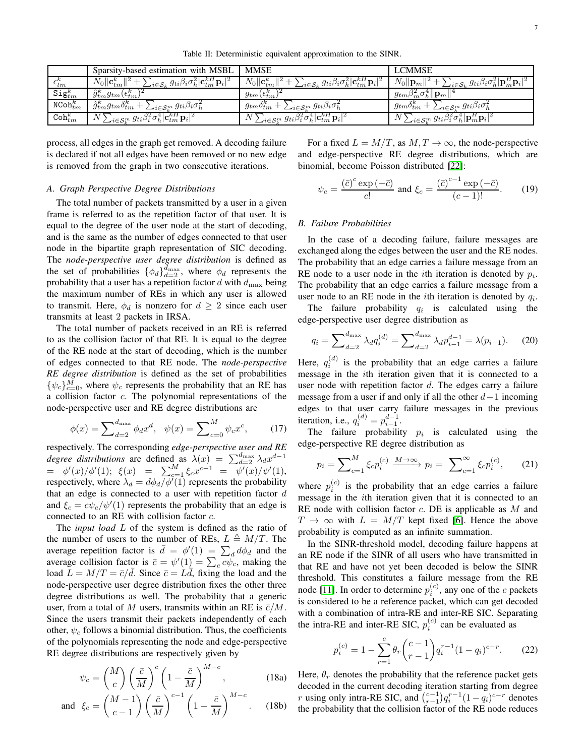Table II: Deterministic equivalent approximation to the SINR.

<span id="page-6-0"></span>

|                            | Sparsity-based estimation with MSBL                                                                                                        | <b>MMSE</b>                                                                                                                            | <b>LCMMSE</b>                                                                                                          |
|----------------------------|--------------------------------------------------------------------------------------------------------------------------------------------|----------------------------------------------------------------------------------------------------------------------------------------|------------------------------------------------------------------------------------------------------------------------|
| $\epsilon_{tm}^{\kappa}$   | $\mathcal{L}_{i \in \mathcal{S}_k} g_{ti} \beta_i \sigma_h^2  \mathbf{c}_{tm}^{kH} \mathbf{p}_i ^2$<br>$N_0$    $\mathbf{c}_{tm}^{\kappa}$ | $\ N_0\ {\mathbf{c}}_{tm}^k\ $<br>$\text{L}_{i \in \mathcal{S}_k} g_{ti} \beta_i \sigma^2_h  \mathbf{c}_{tm}^{\kappa H} \mathbf{p}_i $ | $N_0\ \mathbf{p}_m\ $<br>$\mathcal{L}_{i \in \mathcal{S}_k} g_{ti} \beta_i \sigma^2_h  \mathbf{p}_m^H \mathbf{p}_i ^2$ |
| $\texttt{Sig}^\kappa_{tm}$ | $\ddot{g}_{tm}^{\kappa}g_{tm}(\epsilon_{tm}^{\kappa})$                                                                                     | $g_{tm}(\epsilon_{tm}^{\kappa})$                                                                                                       | $g_{tm}\beta_m^2\sigma_h^2\ \mathbf{p}_m\ $                                                                            |
| $\texttt{NCoh}_{tm}^k$     | $g_{tm}^{\kappa}g_{tm}^{\kappa}o_{tm}^{\kappa}$<br>$\sum_{i \in S_k^m} g_{ti} \beta_i \sigma_h^2$                                          | $g_{tm} \delta_{tm}^{\kappa}$ .<br>$\sum_{i \in S_k^m} g_{ti} \beta_i \sigma_h^2$                                                      | $g_{tm}o_{tm}^n$<br>$\sum_{i \in S_k^m} g_{ti} \beta_i \sigma_h^2$                                                     |
| $\texttt{Coh}_{tm}^k$      | $\int \sum_{i \in {\cal S}_k^m} g_{ti} \beta_i^2 \sigma_h^4  {\bf c}_{tm}^{\kappa H} \, {\bf p}_i ^2 \, .$                                 | $\sum_{i \in \mathcal{S}_k^m} g_{ti} \beta_i^2 \sigma_h^4  \mathbf{c}_{tm}^{\kappa H} \mathbf{p}_i ^2$                                 | $\sum_{i \in {\cal S}_k^m} g_{ti} \beta_i^z \sigma_h^4  {\bf p}_m^H {\bf p}_i ^2 \quad .$                              |

process, all edges in the graph get removed. A decoding failure is declared if not all edges have been removed or no new edge is removed from the graph in two consecutive iterations.

# *A. Graph Perspective Degree Distributions*

The total number of packets transmitted by a user in a given frame is referred to as the repetition factor of that user. It is equal to the degree of the user node at the start of decoding, and is the same as the number of edges connected to that user node in the bipartite graph representation of SIC decoding. The *node-perspective user degree distribution* is defined as the set of probabilities  $\{\phi_d\}_{d=2}^{d_{\text{max}}}$ , where  $\phi_d$  represents the probability that a user has a repetition factor  $d$  with  $d_{\text{max}}$  being the maximum number of REs in which any user is allowed to transmit. Here,  $\phi_d$  is nonzero for  $d \geq 2$  since each user transmits at least 2 packets in IRSA.

The total number of packets received in an RE is referred to as the collision factor of that RE. It is equal to the degree of the RE node at the start of decoding, which is the number of edges connected to that RE node. The *node-perspective RE degree distribution* is defined as the set of probabilities  $\{\psi_c\}_{c=0}^M$ , where  $\psi_c$  represents the probability that an RE has a collision factor c. The polynomial representations of the node-perspective user and RE degree distributions are

$$
\phi(x) = \sum_{d=2}^{d_{\text{max}}} \phi_d x^d, \quad \psi(x) = \sum_{c=0}^{M} \psi_c x^c, \quad (17)
$$

respectively. The corresponding *edge-perspective user and RE degree distributions* are defined as  $\lambda(x) = \sum_{d=2}^{d_{\text{max}}} \lambda_d x^{d-1}$  $= \phi'(x)/\phi'(1); \; \xi(x) = \sum_{c=1}^{M} \xi_c x^{c-1} = \overline{\psi'(x)}/\psi'(1),$ respectively, where  $\lambda_d = d\phi_d / \phi'(1)$  represents the probability that an edge is connected to a user with repetition factor  $d$ and  $\xi_c = c\psi_c/\psi'(1)$  represents the probability that an edge is connected to an RE with collision factor c.

The *input load* L of the system is defined as the ratio of the number of users to the number of REs,  $L \triangleq M/T$ . The average repetition factor is  $\bar{d} = \phi'(1) = \sum_d d\phi_d$  and the average repetition ractor is  $\vec{a} = \psi'(1) = \sum_{a} d\psi_a$  and the<br>average collision factor is  $\vec{c} = \psi'(1) = \sum_{c} c\psi_c$ , making the load  $L = M/T = \bar{c}/\bar{d}$ . Since  $\bar{c} = L\bar{d}$ , fixing the load and the node-perspective user degree distribution fixes the other three degree distributions as well. The probability that a generic user, from a total of M users, transmits within an RE is  $\bar{c}/M$ . Since the users transmit their packets independently of each other,  $\psi_c$  follows a binomial distribution. Thus, the coefficients of the polynomials representing the node and edge-perspective RE degree distributions are respectively given by

$$
\psi_c = \binom{M}{c} \left(\frac{\bar{c}}{M}\right)^c \left(1 - \frac{\bar{c}}{M}\right)^{M-c},\tag{18a}
$$

and 
$$
\xi_c = \left(\frac{M-1}{c-1}\right) \left(\frac{\bar{c}}{M}\right)^{c-1} \left(1 - \frac{\bar{c}}{M}\right)^{M-c}
$$
. (18b)

For a fixed  $L = M/T$ , as  $M, T \rightarrow \infty$ , the node-perspective and edge-perspective RE degree distributions, which are binomial, become Poisson distributed [\[22\]](#page-12-21):

<span id="page-6-3"></span>
$$
\psi_c = \frac{(\bar{c})^c \exp\left(-\bar{c}\right)}{c!} \text{ and } \xi_c = \frac{(\bar{c})^{c-1} \exp\left(-\bar{c}\right)}{(c-1)!}.\tag{19}
$$

### *B. Failure Probabilities*

In the case of a decoding failure, failure messages are exchanged along the edges between the user and the RE nodes. The probability that an edge carries a failure message from an RE node to a user node in the *i*th iteration is denoted by  $p_i$ . The probability that an edge carries a failure message from a user node to an RE node in the *i*th iteration is denoted by  $q_i$ .

The failure probability  $q_i$  is calculated using the edge-perspective user degree distribution as

<span id="page-6-2"></span>
$$
q_i = \sum_{d=2}^{d_{\text{max}}} \lambda_d q_i^{(d)} = \sum_{d=2}^{d_{\text{max}}} \lambda_d p_{i-1}^{d-1} = \lambda(p_{i-1}). \tag{20}
$$

Here,  $q_i^{(d)}$  is the probability that an edge carries a failure message in the ith iteration given that it is connected to a user node with repetition factor  $d$ . The edges carry a failure message from a user if and only if all the other  $d-1$  incoming edges to that user carry failure messages in the previous iteration, i.e.,  $q_i^{(d)} = p_{i-1}^{d-1}$ .

The failure probability  $p_i$  is calculated using the edge-perspective RE degree distribution as

$$
p_i = \sum_{c=1}^{M} \xi_c p_i^{(c)} \xrightarrow{M \to \infty} p_i = \sum_{c=1}^{\infty} \xi_c p_i^{(c)}, \qquad (21)
$$

where  $p_i^{(c)}$  is the probability that an edge carries a failure message in the ith iteration given that it is connected to an RE node with collision factor  $c$ . DE is applicable as  $M$  and  $T \rightarrow \infty$  with  $L = M/T$  kept fixed [\[6\]](#page-12-4). Hence the above probability is computed as an infinite summation.

In the SINR-threshold model, decoding failure happens at an RE node if the SINR of all users who have transmitted in that RE and have not yet been decoded is below the SINR threshold. This constitutes a failure message from the RE node [\[11\]](#page-12-10). In order to determine  $p_i^{(c)}$ , any one of the c packets is considered to be a reference packet, which can get decoded with a combination of intra-RE and inter-RE SIC. Separating the intra-RE and inter-RE SIC,  $p_i^{(c)}$  can be evaluated as

<span id="page-6-1"></span>
$$
p_i^{(c)} = 1 - \sum_{r=1}^{c} \theta_r \binom{c-1}{r-1} q_i^{r-1} (1-q_i)^{c-r}.
$$
 (22)

Here,  $\theta_r$  denotes the probability that the reference packet gets decoded in the current decoding iteration starting from degree r using only intra-RE SIC, and  $\binom{c-1}{r-1}q_i^{r-1}(1-q_i)^{c-r}$  denotes the probability that the collision factor of the RE node reduces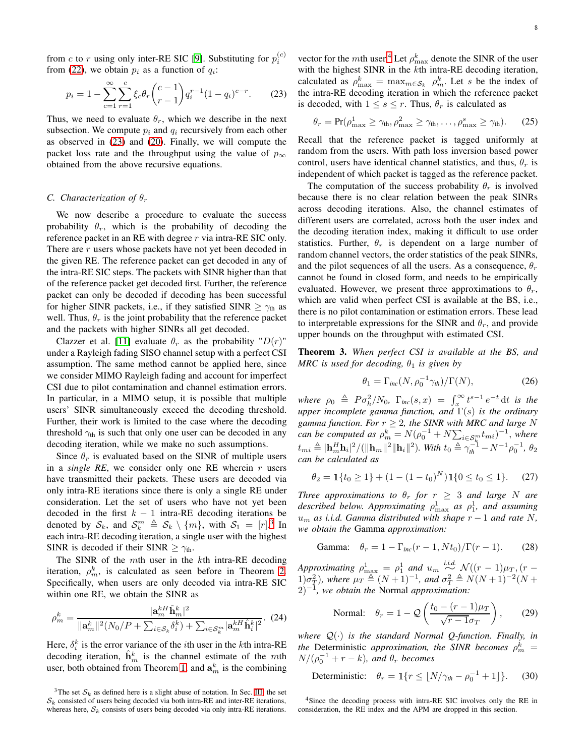from c to r using only inter-RE SIC [\[9\]](#page-12-8). Substituting for  $p_i^{(c)}$ from [\(22\)](#page-6-1), we obtain  $p_i$  as a function of  $q_i$ :

$$
p_i = 1 - \sum_{c=1}^{\infty} \sum_{r=1}^{c} \xi_c \theta_r {c-1 \choose r-1} q_i^{r-1} (1-q_i)^{c-r}.
$$
 (23)

Thus, we need to evaluate  $\theta_r$ , which we describe in the next subsection. We compute  $p_i$  and  $q_i$  recursively from each other as observed in [\(23\)](#page-7-2) and [\(20\)](#page-6-2). Finally, we will compute the packet loss rate and the throughput using the value of  $p_{\infty}$ obtained from the above recursive equations.

# <span id="page-7-1"></span>*C. Characterization of*  $\theta_r$

We now describe a procedure to evaluate the success probability  $\theta_r$ , which is the probability of decoding the reference packet in an RE with degree  $r$  via intra-RE SIC only. There are r users whose packets have not yet been decoded in the given RE. The reference packet can get decoded in any of the intra-RE SIC steps. The packets with SINR higher than that of the reference packet get decoded first. Further, the reference packet can only be decoded if decoding has been successful for higher SINR packets, i.e., if they satisfied SINR  $\geq \gamma_{th}$  as well. Thus,  $\theta_r$  is the joint probability that the reference packet and the packets with higher SINRs all get decoded.

Clazzer et al. [\[11\]](#page-12-10) evaluate  $\theta_r$  as the probability " $D(r)$ " under a Rayleigh fading SISO channel setup with a perfect CSI assumption. The same method cannot be applied here, since we consider MIMO Rayleigh fading and account for imperfect CSI due to pilot contamination and channel estimation errors. In particular, in a MIMO setup, it is possible that multiple users' SINR simultaneously exceed the decoding threshold. Further, their work is limited to the case where the decoding threshold  $\gamma_{th}$  is such that only one user can be decoded in any decoding iteration, while we make no such assumptions.

Since  $\theta_r$  is evaluated based on the SINR of multiple users in a *single RE*, we consider only one RE wherein  $r$  users have transmitted their packets. These users are decoded via only intra-RE iterations since there is only a single RE under consideration. Let the set of users who have not yet been decoded in the first  $k - 1$  intra-RE decoding iterations be denoted by  $S_k$ , and  $S_k^m \triangleq S_k \setminus \{m\}$ , with  $S_1 = [r]^3$  $S_1 = [r]^3$  In each intra-RE decoding iteration, a single user with the highest SINR is decoded if their SINR  $\geq \gamma_{\text{th}}$ .

The SINR of the mth user in the kth intra-RE decoding iteration,  $\rho_m^k$ , is calculated as seen before in Theorem [2.](#page-4-0) Specifically, when users are only decoded via intra-RE SIC within one RE, we obtain the SINR as

$$
\rho_m^k = \frac{|\mathbf{a}_m^k \hat{\mathbf{h}}_m^k|^2}{\|\mathbf{a}_m^k\|^2 (N_0/P + \sum_{i \in \mathcal{S}_k} \delta_i^k) + \sum_{i \in \mathcal{S}_k^m} |\mathbf{a}_m^{kH} \hat{\mathbf{h}}_i^k|^2}.
$$
 (24)

Here,  $\delta_i^k$  is the error variance of the *i*th user in the *k*th intra-RE decoding iteration,  $\hat{\mathbf{h}}_m^k$  is the channel estimate of the mth user, both obtained from Theorem [1,](#page-3-0) and  $a_m^k$  is the combining

<span id="page-7-3"></span><sup>3</sup>The set  $S_k$  as defined here is a slight abuse of notation. In Sec. [III,](#page-2-0) the set  $S_k$  consisted of users being decoded via both intra-RE and inter-RE iterations, whereas here,  $S_k$  consists of users being decoded via only intra-RE iterations.

<span id="page-7-2"></span>vector for the *m*th user.<sup>[4](#page-7-4)</sup> Let  $\rho_{\text{max}}^k$  denote the SINR of the user with the highest SINR in the kth intra-RE decoding iteration, calculated as  $\rho_{\max}^k = \max_{m \in S_k} \rho_m^k$ . Let s be the index of the intra-RE decoding iteration in which the reference packet is decoded, with  $1 \leq s \leq r$ . Thus,  $\theta_r$  is calculated as

<span id="page-7-5"></span>
$$
\theta_r = \Pr(\rho_{\text{max}}^1 \ge \gamma_{\text{th}}, \rho_{\text{max}}^2 \ge \gamma_{\text{th}}, \dots, \rho_{\text{max}}^s \ge \gamma_{\text{th}}). \tag{25}
$$

Recall that the reference packet is tagged uniformly at random from the users. With path loss inversion based power control, users have identical channel statistics, and thus,  $\theta_r$  is independent of which packet is tagged as the reference packet.

The computation of the success probability  $\theta_r$  is involved because there is no clear relation between the peak SINRs across decoding iterations. Also, the channel estimates of different users are correlated, across both the user index and the decoding iteration index, making it difficult to use order statistics. Further,  $\theta_r$  is dependent on a large number of random channel vectors, the order statistics of the peak SINRs, and the pilot sequences of all the users. As a consequence,  $\theta_r$ cannot be found in closed form, and needs to be empirically evaluated. However, we present three approximations to  $\theta_r$ , which are valid when perfect CSI is available at the BS, i.e., there is no pilot contamination or estimation errors. These lead to interpretable expressions for the SINR and  $\theta_r$ , and provide upper bounds on the throughput with estimated CSI.

<span id="page-7-0"></span>Theorem 3. *When perfect CSI is available at the BS, and MRC is used for decoding,*  $\theta_1$  *is given by* 

$$
\theta_1 = \Gamma_{inc}(N, \rho_0^{-1} \gamma_{th}) / \Gamma(N), \qquad (26)
$$

where  $\rho_0 \triangleq P \sigma_h^2/N_0$ ,  $\Gamma_{inc}(s, x) = \int_x^{\infty} t^{s-1} e^{-t} dt$  is the *upper incomplete gamma function, and* Γ(s) *is the ordinary gamma function.* For  $r \geq 2$ *, the SINR with MRC and large N can be computed as*  $\rho_m^k = N(\rho_0^{-1} + N \sum_{i \in S_k^m} t_{mi})^{-1}$ , *where*  $t_{mi} \triangleq |\mathbf{h}_m^H \mathbf{h}_i|^2 / (||\mathbf{h}_m||^2 ||\mathbf{h}_i||^2)$ . With  $t_0 \triangleq \gamma_{th}^{-1} - N^{-1} \rho_0^{-1}$ ,  $\theta_2$ *can be calculated as*

$$
\theta_2 = \mathbb{1}\{t_0 \ge 1\} + (1 - (1 - t_0)^N)\mathbb{1}\{0 \le t_0 \le 1\}.
$$
 (27)

*Three approximations to*  $\theta_r$  *for*  $r \geq 3$  *and large* N *are* described below. Approximating  $\rho_{\text{max}}^1$  as  $\rho_1^1$ , and assuming  $u_m$  *as i.i.d.* Gamma distributed with shape  $r - 1$  *and rate* N, *we obtain the* Gamma *approximation:*

$$
\text{Gamma:} \quad \theta_r = 1 - \Gamma_{inc}(r - 1, Nt_0) / \Gamma(r - 1). \tag{28}
$$

*Approximating*  $\rho_{\max}^1 = \rho_1^1$  and  $u_m \stackrel{i.i.d.}{\sim} \mathcal{N}((r-1)\mu_T, (r-1)\sigma_T^2)$ , where  $\mu_T \stackrel{\triangle}{=} (N+1)^{-1}$ , and  $\sigma_T^2 \stackrel{\triangle}{=} N(N+1)^{-2}(N+1)$ 2)−<sup>1</sup> *, we obtain the* Normal *approximation:*

Normal: 
$$
\theta_r = 1 - Q\left(\frac{t_0 - (r - 1)\mu_T}{\sqrt{r - 1}\sigma_T}\right)
$$
, (29)

*where* Q(·) *is the standard Normal Q-function. Finally, in the* Deterministic *approximation, the SINR becomes*  $\rho_m^k$  =  $N/(\rho_0^{-1} + r - k)$ , and  $\theta_r$  becomes

Deterministic:  $\theta_r = \mathbb{1}\{r \leq \lfloor N/\gamma_{th} - \rho_0^{-1} + 1 \rfloor\}$ . (30)

<span id="page-7-4"></span><sup>4</sup>Since the decoding process with intra-RE SIC involves only the RE in consideration, the RE index and the APM are dropped in this section.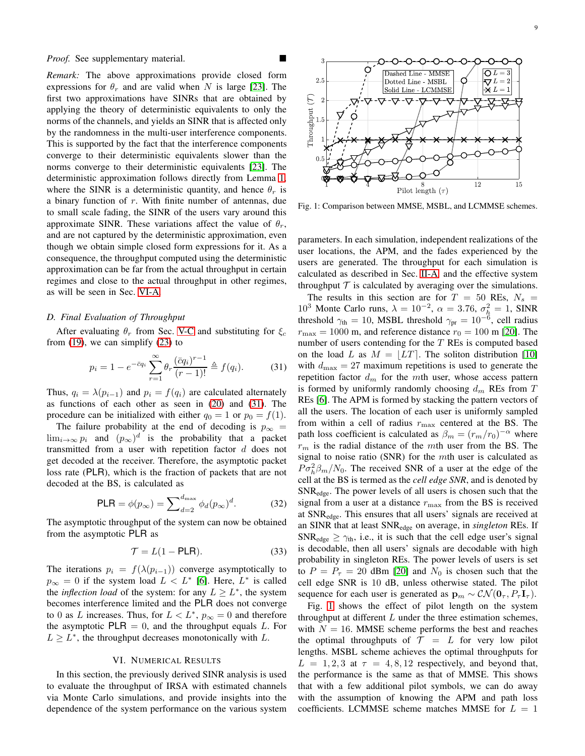*Proof.* See supplementary material.

*Remark:* The above approximations provide closed form expressions for  $\theta_r$  and are valid when N is large [\[23\]](#page-12-22). The first two approximations have SINRs that are obtained by applying the theory of deterministic equivalents to only the norms of the channels, and yields an SINR that is affected only by the randomness in the multi-user interference components. This is supported by the fact that the interference components converge to their deterministic equivalents slower than the norms converge to their deterministic equivalents [\[23\]](#page-12-22). The deterministic approximation follows directly from Lemma [1,](#page-5-3) where the SINR is a deterministic quantity, and hence  $\theta_r$  is a binary function of r. With finite number of antennas, due to small scale fading, the SINR of the users vary around this approximate SINR. These variations affect the value of  $\theta_r$ , and are not captured by the deterministic approximation, even though we obtain simple closed form expressions for it. As a consequence, the throughput computed using the deterministic approximation can be far from the actual throughput in certain regimes and close to the actual throughput in other regimes, as will be seen in Sec. [VI-A.](#page-11-0)

# <span id="page-8-0"></span>*D. Final Evaluation of Throughput*

After evaluating  $\theta_r$  from Sec. [V-C](#page-7-1) and substituting for  $\xi_c$ from  $(19)$ , we can simplify  $(23)$  to

$$
p_i = 1 - e^{-\bar{c}q_i} \sum_{r=1}^{\infty} \theta_r \frac{(\bar{c}q_i)^{r-1}}{(r-1)!} \triangleq f(q_i). \tag{31}
$$

Thus,  $q_i = \lambda(p_{i-1})$  and  $p_i = f(q_i)$  are calculated alternately as functions of each other as seen in [\(20\)](#page-6-2) and [\(31\)](#page-8-3). The procedure can be initialized with either  $q_0 = 1$  or  $p_0 = f(1)$ .

The failure probability at the end of decoding is  $p_{\infty}$  =  $\lim_{i\to\infty} p_i$  and  $(p_\infty)^d$  is the probability that a packet transmitted from a user with repetition factor  $d$  does not get decoded at the receiver. Therefore, the asymptotic packet loss rate (PLR), which is the fraction of packets that are not decoded at the BS, is calculated as

$$
PLR = \phi(p_{\infty}) = \sum_{d=2}^{d_{\text{max}}} \phi_d(p_{\infty})^d.
$$
 (32)

The asymptotic throughput of the system can now be obtained from the asymptotic PLR as

$$
\mathcal{T} = L(1 - \text{PLR}).\tag{33}
$$

The iterations  $p_i = f(\lambda(p_{i-1}))$  converge asymptotically to  $p_{\infty} = 0$  if the system load  $L < L^*$  [\[6\]](#page-12-4). Here,  $L^*$  is called the *inflection load* of the system: for any  $L \geq L^*$ , the system becomes interference limited and the PLR does not converge to 0 as L increases. Thus, for  $L < L^*$ ,  $p_{\infty} = 0$  and therefore the asymptotic  $PLR = 0$ , and the throughput equals L. For  $L \geq L^*$ , the throughput decreases monotonically with L.

# VI. NUMERICAL RESULTS

<span id="page-8-2"></span>In this section, the previously derived SINR analysis is used to evaluate the throughput of IRSA with estimated channels via Monte Carlo simulations, and provide insights into the dependence of the system performance on the various system

<span id="page-8-1"></span>

Fig. 1: Comparison between MMSE, MSBL, and LCMMSE schemes.

parameters. In each simulation, independent realizations of the user locations, the APM, and the fades experienced by the users are generated. The throughput for each simulation is calculated as described in Sec. [II-A,](#page-2-5) and the effective system throughput  $T$  is calculated by averaging over the simulations.

<span id="page-8-3"></span>The results in this section are for  $T = 50$  REs,  $N_s =$ 10<sup>3</sup> Monte Carlo runs,  $\lambda = 10^{-2}$ ,  $\alpha = 3.76$ ,  $\sigma_h^2 = 1$ , SINR threshold  $\gamma_{\text{th}} = 10$ , MSBL threshold  $\gamma_{\text{pr}} = 10^{-6}$ , cell radius  $r_{\text{max}} = 1000$  m, and reference distance  $r_0 = 100$  m [\[20\]](#page-12-19). The number of users contending for the  $T$  REs is computed based on the load L as  $M = |LT|$ . The soliton distribution [\[10\]](#page-12-9) with  $d_{\text{max}} = 27$  maximum repetitions is used to generate the repetition factor  $d_m$  for the mth user, whose access pattern is formed by uniformly randomly choosing  $d_m$  REs from T REs [\[6\]](#page-12-4). The APM is formed by stacking the pattern vectors of all the users. The location of each user is uniformly sampled from within a cell of radius  $r_{\text{max}}$  centered at the BS. The path loss coefficient is calculated as  $\beta_m = (r_m/r_0)^{-\alpha}$  where  $r<sub>m</sub>$  is the radial distance of the mth user from the BS. The signal to noise ratio (SNR) for the  $m$ th user is calculated as  $P\sigma_h^2\beta_m/N_0$ . The received SNR of a user at the edge of the cell at the BS is termed as the *cell edge SNR*, and is denoted by SNRedge. The power levels of all users is chosen such that the signal from a user at a distance  $r_{\text{max}}$  from the BS is received at SNRedge. This ensures that all users' signals are received at an SINR that at least SNRedge on average, in *singleton* REs. If SNR<sub>edge</sub>  $\geq \gamma_{th}$ , i.e., it is such that the cell edge user's signal is decodable, then all users' signals are decodable with high probability in singleton REs. The power levels of users is set to  $P = P<sub>\tau</sub> = 20$  dBm [\[20\]](#page-12-19) and  $N<sub>0</sub>$  is chosen such that the cell edge SNR is 10 dB, unless otherwise stated. The pilot sequence for each user is generated as  $\mathbf{p}_m \sim \mathcal{CN}(\mathbf{0}_{\tau}, P_{\tau} \mathbf{I}_{\tau}).$ 

Fig. [1](#page-8-1) shows the effect of pilot length on the system throughput at different  $L$  under the three estimation schemes, with  $N = 16$ . MMSE scheme performs the best and reaches the optimal throughputs of  $T = L$  for very low pilot lengths. MSBL scheme achieves the optimal throughputs for  $L = 1, 2, 3$  at  $\tau = 4, 8, 12$  respectively, and beyond that, the performance is the same as that of MMSE. This shows that with a few additional pilot symbols, we can do away with the assumption of knowing the APM and path loss coefficients. LCMMSE scheme matches MMSE for  $L = 1$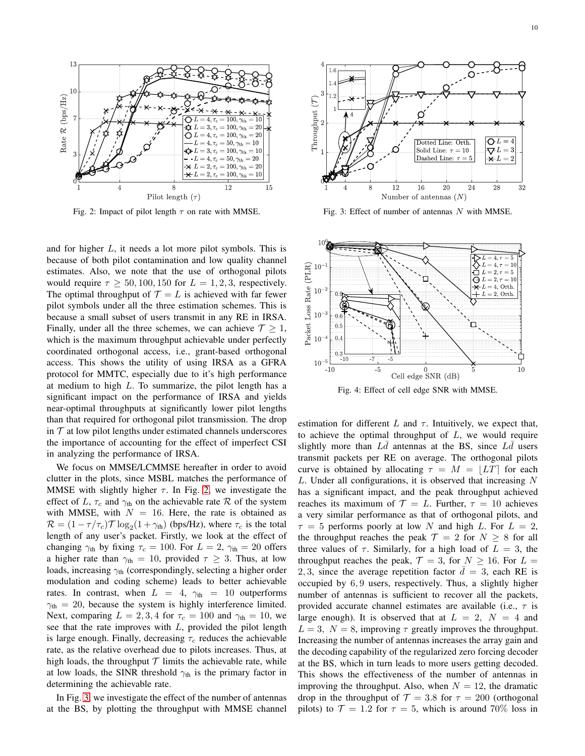<span id="page-9-0"></span>

Fig. 2: Impact of pilot length  $\tau$  on rate with MMSE.

and for higher L, it needs a lot more pilot symbols. This is because of both pilot contamination and low quality channel estimates. Also, we note that the use of orthogonal pilots would require  $\tau \ge 50, 100, 150$  for  $L = 1, 2, 3$ , respectively. The optimal throughput of  $\mathcal{T} = L$  is achieved with far fewer pilot symbols under all the three estimation schemes. This is because a small subset of users transmit in any RE in IRSA. Finally, under all the three schemes, we can achieve  $\mathcal{T} \geq 1$ , which is the maximum throughput achievable under perfectly coordinated orthogonal access, i.e., grant-based orthogonal access. This shows the utility of using IRSA as a GFRA protocol for MMTC, especially due to it's high performance at medium to high  $L$ . To summarize, the pilot length has a significant impact on the performance of IRSA and yields near-optimal throughputs at significantly lower pilot lengths than that required for orthogonal pilot transmission. The drop in  $T$  at low pilot lengths under estimated channels underscores the importance of accounting for the effect of imperfect CSI in analyzing the performance of IRSA.

We focus on MMSE/LCMMSE hereafter in order to avoid clutter in the plots, since MSBL matches the performance of MMSE with slightly higher  $\tau$ . In Fig. [2,](#page-9-0) we investigate the effect of L,  $\tau_c$  and  $\gamma_{th}$  on the achievable rate R of the system with MMSE, with  $N = 16$ . Here, the rate is obtained as  $\mathcal{R} = (1 - \tau/\tau_c)\mathcal{T}\log_2(1 + \gamma_{\text{th}})$  (bps/Hz), where  $\tau_c$  is the total length of any user's packet. Firstly, we look at the effect of changing  $\gamma_{th}$  by fixing  $\tau_c = 100$ . For  $L = 2$ ,  $\gamma_{th} = 20$  offers a higher rate than  $\gamma_{\text{th}} = 10$ , provided  $\tau \geq 3$ . Thus, at low loads, increasing  $\gamma_{th}$  (correspondingly, selecting a higher order modulation and coding scheme) leads to better achievable rates. In contrast, when  $L = 4$ ,  $\gamma_{\text{th}} = 10$  outperforms  $\gamma_{\text{th}} = 20$ , because the system is highly interference limited. Next, comparing  $L = 2, 3, 4$  for  $\tau_c = 100$  and  $\gamma_{th} = 10$ , we see that the rate improves with  $L$ , provided the pilot length is large enough. Finally, decreasing  $\tau_c$  reduces the achievable rate, as the relative overhead due to pilots increases. Thus, at high loads, the throughput  $\mathcal T$  limits the achievable rate, while at low loads, the SINR threshold  $\gamma_{th}$  is the primary factor in determining the achievable rate.

In Fig. [3,](#page-9-1) we investigate the effect of the number of antennas at the BS, by plotting the throughput with MMSE channel

<span id="page-9-1"></span>

Fig. 3: Effect of number of antennas  $N$  with MMSE.

<span id="page-9-2"></span>

Fig. 4: Effect of cell edge SNR with MMSE.

estimation for different  $L$  and  $\tau$ . Intuitively, we expect that, to achieve the optimal throughput of  $L$ , we would require slightly more than  $L\bar{d}$  antennas at the BS, since  $L\bar{d}$  users transmit packets per RE on average. The orthogonal pilots curve is obtained by allocating  $\tau = M = |LT|$  for each L. Under all configurations, it is observed that increasing N has a significant impact, and the peak throughput achieved reaches its maximum of  $\mathcal{T} = L$ . Further,  $\tau = 10$  achieves a very similar performance as that of orthogonal pilots, and  $\tau = 5$  performs poorly at low N and high L. For  $L = 2$ , the throughput reaches the peak  $\mathcal{T} = 2$  for  $N \geq 8$  for all three values of  $\tau$ . Similarly, for a high load of  $L = 3$ , the throughput reaches the peak,  $\mathcal{T} = 3$ , for  $N \geq 16$ . For  $L =$ 2, 3, since the average repetition factor  $\bar{d} = 3$ , each RE is occupied by 6, 9 users, respectively. Thus, a slightly higher number of antennas is sufficient to recover all the packets, provided accurate channel estimates are available (i.e.,  $\tau$  is large enough). It is observed that at  $L = 2$ ,  $N = 4$  and  $L = 3$ ,  $N = 8$ , improving  $\tau$  greatly improves the throughput. Increasing the number of antennas increases the array gain and the decoding capability of the regularized zero forcing decoder at the BS, which in turn leads to more users getting decoded. This shows the effectiveness of the number of antennas in improving the throughput. Also, when  $N = 12$ , the dramatic drop in the throughput of  $\mathcal{T} = 3.8$  for  $\tau = 200$  (orthogonal pilots) to  $\mathcal{T} = 1.2$  for  $\tau = 5$ , which is around 70% loss in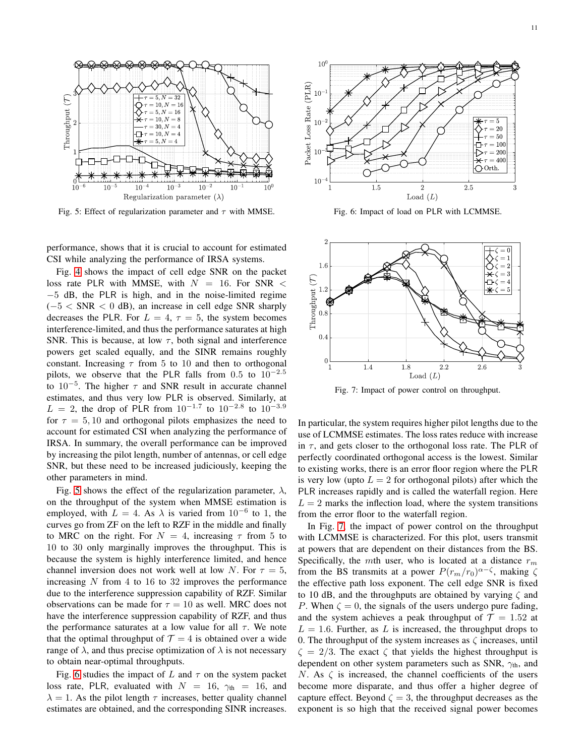<span id="page-10-0"></span>

Fig. 5: Effect of regularization parameter and  $\tau$  with MMSE.

performance, shows that it is crucial to account for estimated CSI while analyzing the performance of IRSA systems.

Fig. [4](#page-9-2) shows the impact of cell edge SNR on the packet loss rate PLR with MMSE, with  $N = 16$ . For SNR < <sup>−</sup><sup>5</sup> dB, the PLR is high, and in the noise-limited regime  $(-5 < SNR < 0$  dB), an increase in cell edge SNR sharply decreases the PLR. For  $L = 4$ ,  $\tau = 5$ , the system becomes interference-limited, and thus the performance saturates at high SNR. This is because, at low  $\tau$ , both signal and interference powers get scaled equally, and the SINR remains roughly constant. Increasing  $\tau$  from 5 to 10 and then to orthogonal pilots, we observe that the PLR falls from 0.5 to  $10^{-2.5}$ to  $10^{-5}$ . The higher  $\tau$  and SNR result in accurate channel estimates, and thus very low PLR is observed. Similarly, at  $L = 2$ , the drop of PLR from  $10^{-1.7}$  to  $10^{-2.8}$  to  $10^{-3.9}$ for  $\tau = 5, 10$  and orthogonal pilots emphasizes the need to account for estimated CSI when analyzing the performance of IRSA. In summary, the overall performance can be improved by increasing the pilot length, number of antennas, or cell edge SNR, but these need to be increased judiciously, keeping the other parameters in mind.

Fig. [5](#page-10-0) shows the effect of the regularization parameter,  $\lambda$ , on the throughput of the system when MMSE estimation is employed, with  $L = 4$ . As  $\lambda$  is varied from  $10^{-6}$  to 1, the curves go from ZF on the left to RZF in the middle and finally to MRC on the right. For  $N = 4$ , increasing  $\tau$  from 5 to 10 to 30 only marginally improves the throughput. This is because the system is highly interference limited, and hence channel inversion does not work well at low N. For  $\tau = 5$ , increasing  $N$  from 4 to 16 to 32 improves the performance due to the interference suppression capability of RZF. Similar observations can be made for  $\tau = 10$  as well. MRC does not have the interference suppression capability of RZF, and thus the performance saturates at a low value for all  $\tau$ . We note that the optimal throughput of  $\mathcal{T} = 4$  is obtained over a wide range of  $\lambda$ , and thus precise optimization of  $\lambda$  is not necessary to obtain near-optimal throughputs.

Fig. [6](#page-10-1) studies the impact of L and  $\tau$  on the system packet loss rate, PLR, evaluated with  $N = 16$ ,  $\gamma_{\text{th}} = 16$ , and  $\lambda = 1$ . As the pilot length  $\tau$  increases, better quality channel estimates are obtained, and the corresponding SINR increases.

<span id="page-10-1"></span>

Fig. 6: Impact of load on PLR with LCMMSE.

<span id="page-10-2"></span>

Fig. 7: Impact of power control on throughput.

In particular, the system requires higher pilot lengths due to the use of LCMMSE estimates. The loss rates reduce with increase in  $\tau$ , and gets closer to the orthogonal loss rate. The PLR of perfectly coordinated orthogonal access is the lowest. Similar to existing works, there is an error floor region where the PLR is very low (upto  $L = 2$  for orthogonal pilots) after which the PLR increases rapidly and is called the waterfall region. Here  $L = 2$  marks the inflection load, where the system transitions from the error floor to the waterfall region.

In Fig. [7,](#page-10-2) the impact of power control on the throughput with LCMMSE is characterized. For this plot, users transmit at powers that are dependent on their distances from the BS. Specifically, the mth user, who is located at a distance  $r_m$ from the BS transmits at a power  $P(r_m/r_0)^{\alpha-\zeta}$ , making  $\zeta$ the effective path loss exponent. The cell edge SNR is fixed to 10 dB, and the throughputs are obtained by varying  $\zeta$  and P. When  $\zeta = 0$ , the signals of the users undergo pure fading, and the system achieves a peak throughput of  $\mathcal{T} = 1.52$  at  $L = 1.6$ . Further, as L is increased, the throughput drops to 0. The throughput of the system increases as  $\zeta$  increases, until  $\zeta = 2/3$ . The exact  $\zeta$  that yields the highest throughput is dependent on other system parameters such as SNR,  $\gamma_{th}$ , and N. As  $\zeta$  is increased, the channel coefficients of the users become more disparate, and thus offer a higher degree of capture effect. Beyond  $\zeta = 3$ , the throughput decreases as the exponent is so high that the received signal power becomes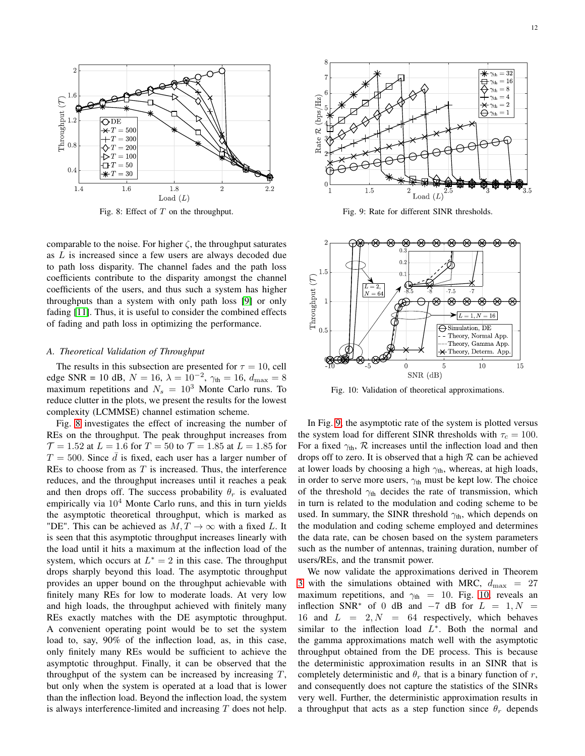<span id="page-11-1"></span>

Fig. 8: Effect of  $T$  on the throughput.

comparable to the noise. For higher  $\zeta$ , the throughput saturates as L is increased since a few users are always decoded due to path loss disparity. The channel fades and the path loss coefficients contribute to the disparity amongst the channel coefficients of the users, and thus such a system has higher throughputs than a system with only path loss [\[9\]](#page-12-8) or only fading [\[11\]](#page-12-10). Thus, it is useful to consider the combined effects of fading and path loss in optimizing the performance.

# <span id="page-11-0"></span>*A. Theoretical Validation of Throughput*

The results in this subsection are presented for  $\tau = 10$ , cell edge SNR = 10 dB,  $N = 16$ ,  $\lambda = 10^{-2}$ ,  $\gamma_{\text{th}} = 16$ ,  $d_{\text{max}} = 8$ maximum repetitions and  $N_s = 10^3$  Monte Carlo runs. To reduce clutter in the plots, we present the results for the lowest complexity (LCMMSE) channel estimation scheme.

Fig. [8](#page-11-1) investigates the effect of increasing the number of REs on the throughput. The peak throughput increases from  $\mathcal{T} = 1.52$  at  $L = 1.6$  for  $T = 50$  to  $\mathcal{T} = 1.85$  at  $L = 1.85$  for  $T = 500$ . Since  $\overline{d}$  is fixed, each user has a larger number of REs to choose from as  $T$  is increased. Thus, the interference reduces, and the throughput increases until it reaches a peak and then drops off. The success probability  $\theta_r$  is evaluated empirically via  $10<sup>4</sup>$  Monte Carlo runs, and this in turn yields the asymptotic theoretical throughput, which is marked as "DE". This can be achieved as  $M, T \rightarrow \infty$  with a fixed L. It is seen that this asymptotic throughput increases linearly with the load until it hits a maximum at the inflection load of the system, which occurs at  $L^* = 2$  in this case. The throughput drops sharply beyond this load. The asymptotic throughput provides an upper bound on the throughput achievable with finitely many REs for low to moderate loads. At very low and high loads, the throughput achieved with finitely many REs exactly matches with the DE asymptotic throughput. A convenient operating point would be to set the system load to, say, 90% of the inflection load, as, in this case, only finitely many REs would be sufficient to achieve the asymptotic throughput. Finally, it can be observed that the throughput of the system can be increased by increasing  $T$ , but only when the system is operated at a load that is lower than the inflection load. Beyond the inflection load, the system is always interference-limited and increasing  $T$  does not help.

<span id="page-11-2"></span>

Fig. 9: Rate for different SINR thresholds.

<span id="page-11-3"></span>

Fig. 10: Validation of theoretical approximations.

In Fig. [9,](#page-11-2) the asymptotic rate of the system is plotted versus the system load for different SINR thresholds with  $\tau_c = 100$ . For a fixed  $\gamma_{th}$ ,  $\mathcal{R}$  increases until the inflection load and then drops off to zero. It is observed that a high  $R$  can be achieved at lower loads by choosing a high  $\gamma_{th}$ , whereas, at high loads, in order to serve more users,  $\gamma_{\text{th}}$  must be kept low. The choice of the threshold  $\gamma_{th}$  decides the rate of transmission, which in turn is related to the modulation and coding scheme to be used. In summary, the SINR threshold  $\gamma_{th}$ , which depends on the modulation and coding scheme employed and determines the data rate, can be chosen based on the system parameters such as the number of antennas, training duration, number of users/REs, and the transmit power.

We now validate the approximations derived in Theorem [3](#page-7-0) with the simulations obtained with MRC,  $d_{\text{max}} = 27$ maximum repetitions, and  $\gamma_{th} = 10$ . Fig. [10,](#page-11-3) reveals an inflection SNR<sup>\*</sup> of 0 dB and  $-7$  dB for  $L = 1, N =$ 16 and  $L = 2, N = 64$  respectively, which behaves similar to the inflection load  $L^*$ . Both the normal and the gamma approximations match well with the asymptotic throughput obtained from the DE process. This is because the deterministic approximation results in an SINR that is completely deterministic and  $\theta_r$  that is a binary function of r, and consequently does not capture the statistics of the SINRs very well. Further, the deterministic approximation results in a throughput that acts as a step function since  $\theta_r$  depends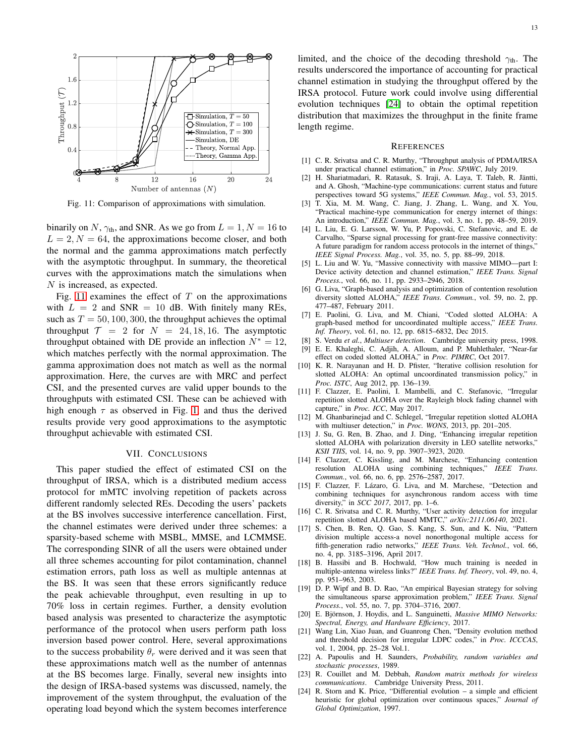<span id="page-12-23"></span>

Fig. 11: Comparison of approximations with simulation.

binarily on N,  $\gamma_{\text{th}}$ , and SNR. As we go from  $L = 1, N = 16$  to  $L = 2, N = 64$ , the approximations become closer, and both the normal and the gamma approximations match perfectly with the asymptotic throughput. In summary, the theoretical curves with the approximations match the simulations when N is increased, as expected.

Fig. [11](#page-12-23) examines the effect of  $T$  on the approximations with  $L = 2$  and SNR = 10 dB. With finitely many REs, such as  $T = 50, 100, 300$ , the throughput achieves the optimal throughput  $\mathcal{T} = 2$  for  $N = 24, 18, 16$ . The asymptotic throughput obtained with DE provide an inflection  $N^* = 12$ , which matches perfectly with the normal approximation. The gamma approximation does not match as well as the normal approximation. Here, the curves are with MRC and perfect CSI, and the presented curves are valid upper bounds to the throughputs with estimated CSI. These can be achieved with high enough  $\tau$  as observed in Fig. [1,](#page-8-1) and thus the derived results provide very good approximations to the asymptotic throughput achievable with estimated CSI.

## VII. CONCLUSIONS

This paper studied the effect of estimated CSI on the throughput of IRSA, which is a distributed medium access protocol for mMTC involving repetition of packets across different randomly selected REs. Decoding the users' packets at the BS involves successive interference cancellation. First, the channel estimates were derived under three schemes: a sparsity-based scheme with MSBL, MMSE, and LCMMSE. The corresponding SINR of all the users were obtained under all three schemes accounting for pilot contamination, channel estimation errors, path loss as well as multiple antennas at the BS. It was seen that these errors significantly reduce the peak achievable throughput, even resulting in up to 70% loss in certain regimes. Further, a density evolution based analysis was presented to characterize the asymptotic performance of the protocol when users perform path loss inversion based power control. Here, several approximations to the success probability  $\theta_r$  were derived and it was seen that these approximations match well as the number of antennas at the BS becomes large. Finally, several new insights into the design of IRSA-based systems was discussed, namely, the improvement of the system throughput, the evaluation of the operating load beyond which the system becomes interference

limited, and the choice of the decoding threshold  $\gamma_{th}$ . The results underscored the importance of accounting for practical channel estimation in studying the throughput offered by the IRSA protocol. Future work could involve using differential evolution techniques [\[24\]](#page-12-24) to obtain the optimal repetition distribution that maximizes the throughput in the finite frame length regime.

#### **REFERENCES**

- <span id="page-12-6"></span>[1] C. R. Srivatsa and C. R. Murthy, "Throughput analysis of PDMA/IRSA under practical channel estimation," in *Proc. SPAWC*, July 2019.
- <span id="page-12-0"></span>[2] H. Shariatmadari, R. Ratasuk, S. Iraji, A. Laya, T. Taleb, R. Jäntti, and A. Ghosh, "Machine-type communications: current status and future perspectives toward 5G systems," *IEEE Commun. Mag.*, vol. 53, 2015.
- <span id="page-12-1"></span>[3] T. Xia, M. M. Wang, C. Jiang, J. Zhang, L. Wang, and X. You, "Practical machine-type communication for energy internet of things: An introduction," *IEEE Commun. Mag.*, vol. 3, no. 1, pp. 48–59, 2019.
- <span id="page-12-2"></span>[4] L. Liu, E. G. Larsson, W. Yu, P. Popovski, C. Stefanovic, and E. de Carvalho, "Sparse signal processing for grant-free massive connectivity: A future paradigm for random access protocols in the internet of things,' *IEEE Signal Process. Mag.*, vol. 35, no. 5, pp. 88–99, 2018.
- <span id="page-12-3"></span>[5] L. Liu and W. Yu, "Massive connectivity with massive MIMO—part I: Device activity detection and channel estimation," *IEEE Trans. Signal Process.*, vol. 66, no. 11, pp. 2933–2946, 2018.
- <span id="page-12-4"></span>[6] G. Liva, "Graph-based analysis and optimization of contention resolution diversity slotted ALOHA," *IEEE Trans. Commun.*, vol. 59, no. 2, pp. 477–487, February 2011.
- <span id="page-12-5"></span>[7] E. Paolini, G. Liva, and M. Chiani, "Coded slotted ALOHA: A graph-based method for uncoordinated multiple access," *IEEE Trans. Inf. Theory*, vol. 61, no. 12, pp. 6815–6832, Dec 2015.
- <span id="page-12-8"></span><span id="page-12-7"></span>[8] S. Verdu *et al.*, *Multiuser detection*. Cambridge university press, 1998.
- [9] E. E. Khaleghi, C. Adjih, A. Alloum, and P. Muhlethaler, "Near-far effect on coded slotted ALOHA," in *Proc. PIMRC*, Oct 2017.
- <span id="page-12-9"></span>[10] K. R. Narayanan and H. D. Pfister, "Iterative collision resolution for slotted ALOHA: An optimal uncoordinated transmission policy," in *Proc. ISTC*, Aug 2012, pp. 136–139.
- <span id="page-12-10"></span>[11] F. Clazzer, E. Paolini, I. Mambelli, and C. Stefanovic, "Irregular repetition slotted ALOHA over the Rayleigh block fading channel with capture," in *Proc. ICC*, May 2017.
- <span id="page-12-11"></span>[12] M. Ghanbarinejad and C. Schlegel, "Irregular repetition slotted ALOHA with multiuser detection," in *Proc. WONS*, 2013, pp. 201–205.
- <span id="page-12-12"></span>[13] J. Su, G. Ren, B. Zhao, and J. Ding, "Enhancing irregular repetition slotted ALOHA with polarization diversity in LEO satellite networks," *KSII TIIS*, vol. 14, no. 9, pp. 3907–3923, 2020.
- <span id="page-12-13"></span>[14] F. Clazzer, C. Kissling, and M. Marchese, "Enhancing contention resolution ALOHA using combining techniques," *IEEE Trans. Commun.*, vol. 66, no. 6, pp. 2576–2587, 2017.
- <span id="page-12-14"></span>[15] F. Clazzer, F. Lázaro, G. Liva, and M. Marchese, "Detection and combining techniques for asynchronous random access with time diversity," in *SCC 2017*, 2017, pp. 1–6.
- <span id="page-12-15"></span>[16] C. R. Srivatsa and C. R. Murthy, "User activity detection for irregular repetition slotted ALOHA based MMTC," *arXiv:2111.06140*, 2021.
- <span id="page-12-16"></span>[17] S. Chen, B. Ren, Q. Gao, S. Kang, S. Sun, and K. Niu, "Pattern division multiple access-a novel nonorthogonal multiple access for fifth-generation radio networks," *IEEE Trans. Veh. Technol.*, vol. 66, no. 4, pp. 3185–3196, April 2017.
- <span id="page-12-18"></span>[18] B. Hassibi and B. Hochwald, "How much training is needed in multiple-antenna wireless links?" *IEEE Trans. Inf. Theory*, vol. 49, no. 4, pp. 951–963, 2003.
- <span id="page-12-17"></span>[19] D. P. Wipf and B. D. Rao, "An empirical Bayesian strategy for solving the simultaneous sparse approximation problem," *IEEE Trans. Signal Process.*, vol. 55, no. 7, pp. 3704–3716, 2007.
- <span id="page-12-19"></span>[20] E. Björnson, J. Hoydis, and L. Sanguinetti, *Massive MIMO Networks: Spectral, Energy, and Hardware Efficiency*, 2017.
- <span id="page-12-20"></span>[21] Wang Lin, Xiao Juan, and Guanrong Chen, "Density evolution method and threshold decision for irregular LDPC codes," in *Proc. ICCCAS*, vol. 1, 2004, pp. 25–28 Vol.1.
- <span id="page-12-21"></span>[22] A. Papoulis and H. Saunders, *Probability, random variables and stochastic processes*, 1989.
- <span id="page-12-22"></span>[23] R. Couillet and M. Debbah, *Random matrix methods for wireless communications*. Cambridge University Press, 2011.
- <span id="page-12-24"></span>[24] R. Storn and K. Price, "Differential evolution – a simple and efficient heuristic for global optimization over continuous spaces," *Journal of Global Optimization*, 1997.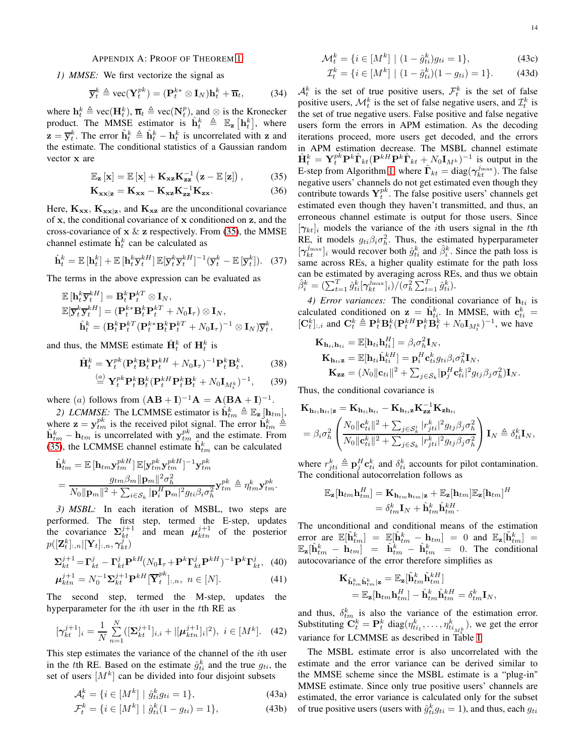# <span id="page-13-0"></span>APPENDIX A: PROOF OF THEOREM [1](#page-3-0)

*1) MMSE:* We first vectorize the signal as

$$
\overline{\mathbf{y}}_t^k \triangleq \text{vec}(\mathbf{Y}_t^{pk}) = (\mathbf{P}_t^{k*} \otimes \mathbf{I}_N)\mathbf{h}_t^k + \overline{\mathbf{n}}_t,\tag{34}
$$

where  $\mathbf{h}_t^k \triangleq \text{vec}(\mathbf{H}_t^k)$ ,  $\overline{\mathbf{n}}_t \triangleq \text{vec}(\mathbf{N}_t^p)$ , and  $\otimes$  is the Kronecker product. The MMSE estimator is  $\hat{\mathbf{h}}_t^k \triangleq \mathbb{E}_{\mathbf{z}} [\mathbf{h}_t^k]$ , where  $\mathbf{z} = \overline{\mathbf{y}}_t^k$ . The error  $\tilde{\mathbf{h}}_t^k \triangleq \hat{\mathbf{h}}_t^k - \mathbf{h}_t^k$  is uncorrelated with z and the estimate. The conditional statistics of a Gaussian random vector x are

$$
\mathbb{E}_{\mathbf{z}}\left[\mathbf{x}\right] = \mathbb{E}\left[\mathbf{x}\right] + \mathbf{K}_{\mathbf{x}\mathbf{z}}\mathbf{K}_{\mathbf{z}\mathbf{z}}^{-1}\left(\mathbf{z} - \mathbb{E}\left[\mathbf{z}\right]\right),\tag{35}
$$

$$
\mathbf{K}_{\mathbf{xx}|\mathbf{z}} = \mathbf{K}_{\mathbf{xx}} - \mathbf{K}_{\mathbf{xz}} \mathbf{K}_{\mathbf{zz}}^{-1} \mathbf{K}_{\mathbf{zx}}.
$$
 (36)

Here,  $K_{xx}$ ,  $K_{xx|z}$ , and  $K_{xz}$  are the unconditional covariance of x, the conditional covariance of x conditioned on z, and the cross-covariance of  $x \& z$  respectively. From [\(35\)](#page-13-1), the MMSE channel estimate  $\hat{\mathbf{h}}_t^k$  can be calculated as

$$
\hat{\mathbf{h}}_t^k = \mathbb{E}\left[\mathbf{h}_t^k\right] + \mathbb{E}\left[\mathbf{h}_t^k \overline{\mathbf{y}}_t^{kH}\right] \mathbb{E}[\overline{\mathbf{y}}_t^k \overline{\mathbf{y}}_t^{kH}]^{-1} \left(\overline{\mathbf{y}}_t^k - \mathbb{E}\left[\overline{\mathbf{y}}_t^k\right]\right). \tag{37}
$$

The terms in the above expression can be evaluated as

$$
\mathbb{E}\left[\mathbf{h}_t^k \overline{\mathbf{y}}_t^{kH}\right] = \mathbf{B}_t^k \mathbf{P}_t^{kT} \otimes \mathbf{I}_N, \n\mathbb{E}[\overline{\mathbf{y}}_t^k \overline{\mathbf{y}}_t^{kH}] = (\mathbf{P}_t^{k*} \mathbf{B}_t^k \mathbf{P}_t^{kT} + N_0 \mathbf{I}_\tau) \otimes \mathbf{I}_N, \n\hat{\mathbf{h}}_t^k = (\mathbf{B}_t^k \mathbf{P}_t^{kT} (\mathbf{P}_t^{k*} \mathbf{B}_t^k \mathbf{P}_t^{kT} + N_0 \mathbf{I}_\tau)^{-1} \otimes \mathbf{I}_N) \overline{\mathbf{y}}_t^k,
$$

and thus, the MMSE estimate  $\hat{\mathbf{H}}_t^k$  of  $\mathbf{H}_t^k$  is

$$
\hat{\mathbf{H}}_t^k = \mathbf{Y}_t^{pk} (\mathbf{P}_t^k \mathbf{B}_t^k \mathbf{P}_t^{kH} + N_0 \mathbf{I}_{\tau})^{-1} \mathbf{P}_t^k \mathbf{B}_t^k, \tag{38}
$$

$$
\stackrel{(a)}{=} \mathbf{Y}_t^{pk} \mathbf{P}_t^k \mathbf{B}_t^k (\mathbf{P}_t^{kH} \mathbf{P}_t^k \mathbf{B}_t^k + N_0 \mathbf{I}_{M_t^k})^{-1}, \qquad (39)
$$

where (a) follows from  $(AB + I)^{-1}A = A(BA + I)^{-1}$ .

2) LCMMSE: The LCMMSE estimator is  $\hat{\mathbf{h}}_{tm}^k \triangleq \mathbb{E}_{\mathbf{z}}[\mathbf{h}_{tm}],$ where  $\mathbf{z} = \mathbf{y}_{tm}^{pk}$  is the received pilot signal. The error  $\hat{\mathbf{h}}_{tm}^k \triangleq$  $\hat{\mathbf{h}}_{tm}^k - \mathbf{h}_{tm}$  is uncorrelated with  $\mathbf{y}_{tm}^{pk}$  and the estimate. From [\(35\)](#page-13-1), the LCMMSE channel estimate  $\hat{\mathbf{h}}_{tm}^k$  can be calculated

$$
\hat{\mathbf{h}}_{tm}^k = \mathbb{E} \left[ \mathbf{h}_{tm} \mathbf{y}_{tm}^{p k H} \right] \mathbb{E} [\mathbf{y}_{tm}^{p k} \mathbf{y}_{tm}^{p k H}]^{-1} \mathbf{y}_{tm}^{p k}
$$
\n
$$
= \frac{g_{tm} \beta_m \|\mathbf{p}_m\|^2 \sigma_h^2}{N_0 \|\mathbf{p}_m\|^2 + \sum_{i \in \mathcal{S}_k} |\mathbf{p}_i^H \mathbf{p}_m|^2 g_{ti} \beta_i \sigma_h^2} \mathbf{y}_{tm}^{pk} \triangleq \eta_{tm}^k \mathbf{y}_{tm}^{pk}.
$$

*3) MSBL:* In each iteration of MSBL, two steps are performed. The first step, termed the E-step, updates the covariance  $\Sigma_{kt}^{j+1}$  $\mu_{kt}^{j+1}$  and mean  $\mu_{ktn}^{j+1}$  of the posterior  $p([\mathbf{Z}_t^k]_{:,n} | [\mathbf{Y}_t]_{:,n}, \boldsymbol{\gamma}^j_{kt})$ 

$$
\Sigma_{kt}^{j+1} = \Gamma_{kt}^j - \Gamma_{kt}^j \mathbf{P}^{kH} (N_0 \mathbf{I}_{\tau} + \mathbf{P}^k \Gamma_{kt}^j \mathbf{P}^{kH})^{-1} \mathbf{P}^k \Gamma_{kt}^j, \tag{40}
$$

$$
\mu_{ktn}^{j+1} = N_0^{-1} \Sigma_{kt}^{j+1} \mathbf{P}^{kH} [\overline{\mathbf{Y}}_t^{pk}]_{:,n}, \ n \in [N]. \tag{41}
$$

The second step, termed the M-step, updates the hyperparameter for the  $i$ th user in the  $t$ th RE as

$$
[\gamma_{kt}^{j+1}]_i = \frac{1}{N} \sum_{n=1}^{N} ([\Sigma_{kt}^{j+1}]_{i,i} + |[\mu_{ktn}^{j+1}]_i|^2), \ i \in [M^k]. \tag{42}
$$

This step estimates the variance of the channel of the *i*th user in the tth RE. Based on the estimate  $\hat{g}_{ti}^k$  and the true  $g_{ti}$ , the set of users  $[M^k]$  can be divided into four disjoint subsets

$$
\mathcal{A}_t^k = \{ i \in [M^k] \mid \hat{g}_{ti}^k g_{ti} = 1 \},\tag{43a}
$$

$$
\mathcal{F}_t^k = \{ i \in [M^k] \mid \hat{g}_{ti}^k (1 - g_{ti}) = 1 \},\tag{43b}
$$

$$
\mathcal{M}_t^k = \{ i \in [M^k] \mid (1 - \hat{g}_{ti}^k) g_{ti} = 1 \},\tag{43c}
$$

$$
\mathcal{I}_t^k = \{ i \in [M^k] \mid (1 - \hat{g}_{ti}^k)(1 - g_{ti}) = 1 \}. \tag{43d}
$$

<span id="page-13-1"></span> $\mathcal{A}_t^k$  is the set of true positive users,  $\mathcal{F}_t^k$  is the set of false positive users,  $\mathcal{M}_t^k$  is the set of false negative users, and  $\mathcal{I}_t^k$  is the set of true negative users. False positive and false negative users form the errors in APM estimation. As the decoding iterations proceed, more users get decoded, and the errors in APM estimation decrease. The MSBL channel estimate  $\hat{\mathbf{H}}_t^k = \mathbf{Y}_t^{pk} \mathbf{P}^k \hat{\mathbf{\Gamma}}_{kt} (\mathbf{P}^{kH} \mathbf{P}^k \hat{\mathbf{\Gamma}}_{kt} + N_0 \mathbf{I}_{M^k})^{-1}$  is output in the E-step from Algorithm [1,](#page-3-1) where  $\hat{\mathbf{\Gamma}}_{kt} = \text{diag}(\gamma_{kt}^{j_{\text{max}}})$ . The false negative users' channels do not get estimated even though they contribute towards  $Y_t^{pk}$ . The false positive users' channels get estimated even though they haven't transmitted, and thus, an erroneous channel estimate is output for those users. Since  $[\gamma_{kt}]_i$  models the variance of the *i*th users signal in the *t*th RE, it models  $g_{ti}\beta_i\sigma_h^2$ . Thus, the estimated hyperparameter  $[\gamma_{kt}^{j_{\text{max}}}]_i$  would recover both  $\hat{g}_{ti}^k$  and  $\hat{\beta}_i^k$ . Since the path loss is same across REs, a higher quality estimate for the path loss can be estimated by averaging across REs, and thus we obtain  $\hat{\beta}_i^k = (\sum_{t=1}^T \hat{g}_{ti}^k [\boldsymbol{\gamma}^{\bar{j}_{\max}}_{kt}]_i)/(\sigma_h^2 \sum_{t=1}^T \hat{g}_{ti}^k).$ 

*4) Error variances:* The conditional covariance of  $h_{ti}$  is calculated conditioned on  $z = \hat{h}_{ti}^k$ . In MMSE, with  $c_{ti}^k =$  $[\mathbf{C}_t^k]_{:,i}$  and  $\mathbf{C}_t^k \triangleq \mathbf{P}_t^k \mathbf{B}_t^k (\mathbf{P}_t^k H \mathbf{P}_t^k \mathbf{B}_t^k + N_0 \mathbf{I}_{M_t^k})^{-1}$ , we have

$$
\mathbf{K}_{\mathbf{h}_{ti}}\mathbf{h}_{ti} = \mathbb{E}[\mathbf{h}_{ti}\mathbf{h}_{ti}^H] = \beta_i \sigma_h^2 \mathbf{I}_N,
$$
  
\n
$$
\mathbf{K}_{\mathbf{h}_{ti}}\mathbf{z} = \mathbb{E}[\mathbf{h}_{ti}\hat{\mathbf{h}}_{ti}^{kH}] = \mathbf{p}_i^H \mathbf{c}_{ti}^k g_{ti} \beta_i \sigma_h^2 \mathbf{I}_N,
$$
  
\n
$$
\mathbf{K}_{zz} = (N_0 ||\mathbf{c}_{ti}||^2 + \sum_{j \in S_k} |\mathbf{p}_j^H \mathbf{c}_{ti}^k|^2 g_{tj} \beta_j \sigma_h^2) \mathbf{I}_N.
$$

Thus, the conditional covariance is

$$
\mathbf{K}_{\mathbf{h}_{ti}\mathbf{h}_{ti}|\mathbf{z}} = \mathbf{K}_{\mathbf{h}_{ti}\mathbf{h}_{ti}} - \mathbf{K}_{\mathbf{h}_{ti}\mathbf{z}} \mathbf{K}_{\mathbf{z}\mathbf{z}}^{-1} \mathbf{K}_{\mathbf{z}\mathbf{h}_{ti}} \n= \beta_i \sigma_h^2 \left( \frac{N_0 \|\mathbf{c}_{ti}^k\|^2 + \sum_{j \in S_k^i} |r_{jti}^k|^2 g_{tj} \beta_j \sigma_h^2}{N_0 \|\mathbf{c}_{ti}^k\|^2 + \sum_{j \in S_k} |r_{jti}^k|^2 g_{tj} \beta_j \sigma_h^2} \right) \mathbf{I}_N \triangleq \delta_{ti}^k \mathbf{I}_N,
$$

where  $r_{jti}^k \triangleq \mathbf{p}_j^H \mathbf{c}_{ti}^k$  and  $\delta_{ti}^k$  accounts for pilot contamination. The conditional autocorrelation follows as

$$
\mathbb{E}_{\mathbf{z}}[\mathbf{h}_{tm}\mathbf{h}_{tm}^H] = \mathbf{K}_{\mathbf{h}_{tm}\mathbf{h}_{tm}|\mathbf{z}} + \mathbb{E}_{\mathbf{z}}[\mathbf{h}_{tm}]\mathbb{E}_{\mathbf{z}}[\mathbf{h}_{tm}]^H
$$

$$
= \delta_{tm}^k \mathbf{I}_N + \hat{\mathbf{h}}_{tm}^k \hat{\mathbf{h}}_{tm}^{kH}.
$$

The unconditional and conditional means of the estimation error are  $\mathbb{E}[\tilde{\mathbf{h}}_{tm}^k] = \mathbb{E}[\tilde{\mathbf{h}}_{tm}^k - \mathbf{h}_{tm}] = 0$  and  $\mathbb{E}_{\mathbf{z}}[\tilde{\mathbf{h}}_{tm}^k] =$  $\mathbb{E}_{\mathbf{z}}[\hat{\mathbf{h}}_{tm}^k - \hat{\mathbf{h}}_{tm}^k] = \hat{\mathbf{h}}_{tm}^k - \hat{\mathbf{h}}_{tm}^k = 0$ . The conditional autocovariance of the error therefore simplifies as

$$
\begin{aligned} \mathbf{K}_{\tilde{\mathbf{h}}_{tm}^k \tilde{\mathbf{h}}_{tm}^k \vert \mathbf{z}} &= \mathbb{E}_{\mathbf{z}}[\tilde{\mathbf{h}}_{tm}^k \tilde{\mathbf{h}}_{tm}^{kH}] \\ &= \mathbb{E}_{\mathbf{z}}[\mathbf{h}_{tm} \mathbf{h}_{tm}^H] - \hat{\mathbf{h}}_{tm}^k \hat{\mathbf{h}}_{tm}^{kH} = \delta_{tm}^k \mathbf{I}_N, \end{aligned}
$$

and thus,  $\delta_{tm}^k$  is also the variance of the estimation error. Substituting  $\mathbf{C}_t^k = \mathbf{P}_t^k$  diag $(\eta_{ti_1}^k, \dots, \eta_{ti_{M_t}^k}^k)$ , we get the error variance for LCMMSE as described in Table [I.](#page-4-2)

The MSBL estimate error is also uncorrelated with the estimate and the error variance can be derived similar to the MMSE scheme since the MSBL estimate is a "plug-in" MMSE estimate. Since only true positive users' channels are estimated, the error variance is calculated only for the subset of true positive users (users with  $\hat{g}_{ti}^k g_{ti} = 1$ ), and thus, each  $g_{ti}$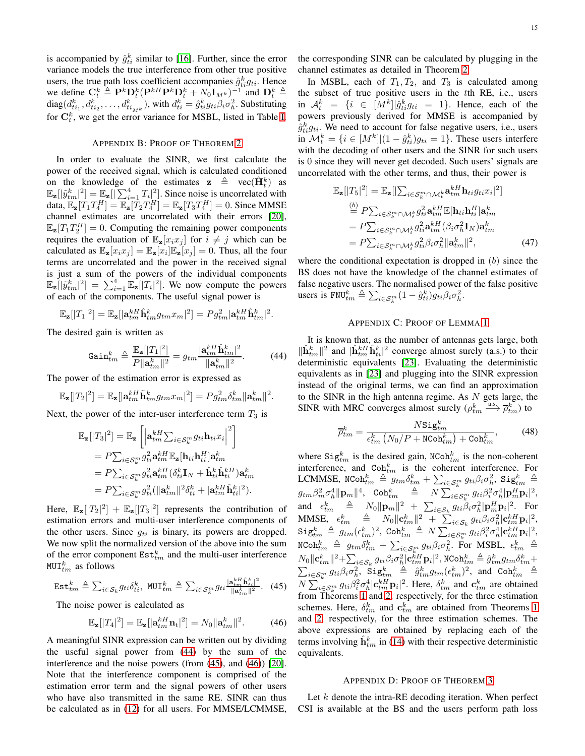is accompanied by  $\hat{g}_{ti}^k$  similar to [\[16\]](#page-12-15). Further, since the error variance models the true interference from other true positive users, the true path loss coefficient accompanies  $\hat{g}_{ti}^k g_{ti}$ . Hence we define  $\mathbf{C}_t^k \triangleq \mathbf{P}^k \mathbf{D}_t^k (\mathbf{P}^{kH} \mathbf{P}^k \mathbf{D}_t^k + N_0 \mathbf{I}_{M^k})^{-1}$  and  $\mathbf{D}_t^k \triangleq$ diag $(d_{ti_1}^k, d_{ti_2}^k, \ldots, d_{ti_{M^k}}^k)$ , with  $d_{ti}^k = \hat{g}_{ti}^k g_{ti} \beta_i \sigma_h^2$ . Substituting for  $\mathbf{C}_t^k$ , we get the error variance for MSBL, listed in Table [I.](#page-4-2)

# <span id="page-14-0"></span>APPENDIX B: PROOF OF THEOREM [2](#page-4-0)

In order to evaluate the SINR, we first calculate the power of the received signal, which is calculated conditioned on the knowledge of the estimates  $\mathbf{z} \triangleq \text{vec}(\hat{\mathbf{H}}_t^k)$  as  $\mathbb{E}_{\mathbf{z}}[|\tilde{y}_{tm}^k|^2] = \mathbb{E}_{\mathbf{z}}[|\sum_{i=1}^4 T_i|^2]$ . Since noise is uncorrelated with data,  $\mathbb{E}_{\mathbf{z}}[T_1 T_4^H] = \mathbb{E}_{\mathbf{z}}[T_2 T_4^H] = \mathbb{E}_{\mathbf{z}}[T_3 T_4^H] = 0$ . Since MMSE channel estimates are uncorrelated with their errors [\[20\]](#page-12-19),  $\mathbb{E}_{\mathbf{z}}[T_1 T_2^H] = 0$ . Computing the remaining power components requires the evaluation of  $\mathbb{E}_{z}[x_i x_j]$  for  $i \neq j$  which can be calculated as  $\mathbb{E}_{\mathbf{z}}[x_i x_j] = \mathbb{E}_{\mathbf{z}}[x_i] \mathbb{E}_{\mathbf{z}}[x_j] = 0$ . Thus, all the four terms are uncorrelated and the power in the received signal is just a sum of the powers of the individual components  $\mathbb{E}_{\mathbf{z}}[|\tilde{y}_{tm}^k|^2] = \sum_{i=1}^4 \mathbb{E}_{\mathbf{z}}[|T_i|^2]$ . We now compute the powers of each of the components. The useful signal power is

$$
\mathbb{E}_{\mathbf{z}}[|T_1|^2] = \mathbb{E}_{\mathbf{z}}[|\mathbf{a}_{tm}^{kH}\hat{\mathbf{h}}_{tm}^k g_{tm}x_m|^2] = P g_{tm}^2 |\mathbf{a}_{tm}^{kH}\hat{\mathbf{h}}_{tm}^k|^2.
$$

The desired gain is written as

$$
Gain_{tm}^{k} \triangleq \frac{\mathbb{E}_{\mathbf{z}}[|T_{1}|^{2}]}{P||\mathbf{a}_{tm}^{k}||^{2}} = g_{tm} \frac{|\mathbf{a}_{tm}^{kH}\hat{\mathbf{h}}_{tm}^{k}|^{2}}{||\mathbf{a}_{tm}^{k}||^{2}}.
$$
 (44)

The power of the estimation error is expressed as

$$
\mathbb{E}_{\mathbf{z}}[|T_2|^2] = \mathbb{E}_{\mathbf{z}}[|\mathbf{a}_{tm}^{kH}\tilde{\mathbf{h}}_{tm}^k g_{tm}x_m|^2] = P g_{tm}^2 \delta_{tm}^k \|\mathbf{a}_{tm}^k\|^2.
$$

Next, the power of the inter-user interference term  $T_3$  is

$$
\mathbb{E}_{\mathbf{z}}[|T_3|^2] = \mathbb{E}_{\mathbf{z}}\left[\left|\mathbf{a}_{tm}^{kH}\sum_{i\in\mathcal{S}_k^m}g_{ti}\mathbf{h}_{ti}x_i\right|^2\right]
$$
  
\n
$$
= P\sum_{i\in\mathcal{S}_k^m} g_{ti}^2 \mathbf{a}_{tm}^{kH} \mathbb{E}_{\mathbf{z}}[\mathbf{h}_{ti}\mathbf{h}_{ti}^H] \mathbf{a}_{tm}^k
$$
  
\n
$$
= P\sum_{i\in\mathcal{S}_k^m} g_{ti}^2 \mathbf{a}_{tm}^{kH} (\delta_{ti}^k \mathbf{I}_N + \hat{\mathbf{h}}_{ti}^k \hat{\mathbf{h}}_{ti}^{kH}) \mathbf{a}_{tm}^k
$$
  
\n
$$
= P\sum_{i\in\mathcal{S}_k^m} g_{ti}^2 (\|\mathbf{a}_{tm}^k\|^2 \delta_{ti}^k + |\mathbf{a}_{tm}^{kH}\hat{\mathbf{h}}_{ti}^k|^2).
$$

Here,  $\mathbb{E}_{\mathbf{z}}[|T_2|^2] + \mathbb{E}_{\mathbf{z}}[|T_3|^2]$  represents the contribution of estimation errors and multi-user interference components of the other users. Since  $q_{ti}$  is binary, its powers are dropped. We now split the normalized version of the above into the sum of the error component  $Est<sup>k</sup><sub>tm</sub>$  and the multi-user interference <code>MUI</code> $_{tm}^k$  as follows

$$
\text{Est}_{tm}^k \triangleq \sum_{i \in \mathcal{S}_k} g_{ti} \delta_{ti}^k, \text{ MUI}_{tm}^k \triangleq \sum_{i \in \mathcal{S}_k^m} g_{ti} \frac{|\mathbf{a}_{tm}^{kH} \hat{\mathbf{h}}_{ti}^k|^2}{\|\mathbf{a}_{tm}^{k}\|^2}. \tag{45}
$$

The noise power is calculated as

$$
\mathbb{E}_{\mathbf{z}}[|T_4|^2] = \mathbb{E}_{\mathbf{z}}[|\mathbf{a}_{tm}^{kH}\mathbf{n}_t|^2] = N_0 \|\mathbf{a}_{tm}^k\|^2. \tag{46}
$$

A meaningful SINR expression can be written out by dividing the useful signal power from [\(44\)](#page-14-2) by the sum of the interference and the noise powers (from [\(45\)](#page-14-3), and [\(46\)](#page-14-4)) [\[20\]](#page-12-19). Note that the interference component is comprised of the estimation error term and the signal powers of other users who have also transmitted in the same RE. SINR can thus be calculated as in [\(12\)](#page-4-3) for all users. For MMSE/LCMMSE, the corresponding SINR can be calculated by plugging in the channel estimates as detailed in Theorem [2.](#page-4-0)

In MSBL, each of  $T_1, T_2$ , and  $T_3$  is calculated among the subset of true positive users in the tth RE, i.e., users in  $\mathcal{A}_t^k = \{i \in [M^k] | \hat{g}_{ti}^k g_{ti} = 1\}$ . Hence, each of the powers previously derived for MMSE is accompanied by  $\hat{g}_{ti}^{k}g_{ti}$ . We need to account for false negative users, i.e., users in  $\mathcal{M}_t^k = \{i \in [M^k]|(1 - \hat{g}_{ti}^k)g_{ti} = 1\}$ . These users interfere with the decoding of other users and the SINR for such users is 0 since they will never get decoded. Such users' signals are uncorrelated with the other terms, and thus, their power is

$$
\mathbb{E}_{\mathbf{z}}[|T_{5}|^{2}] = \mathbb{E}_{\mathbf{z}}[|\sum_{i \in S_{k}^{m} \cap \mathcal{M}_{t}^{k}} \mathbf{a}_{tm}^{kH} \mathbf{h}_{ti} g_{ti} x_{i}|^{2}]
$$
\n
$$
\stackrel{(b)}{=} P \sum_{i \in S_{k}^{m} \cap \mathcal{M}_{t}^{k}} g_{ti}^{2} \mathbf{a}_{tm}^{kH} \mathbb{E}[\mathbf{h}_{ti} \mathbf{h}_{ti}^{H}] \mathbf{a}_{tm}^{k}
$$
\n
$$
= P \sum_{i \in S_{k}^{m} \cap \mathcal{M}_{t}^{k}} g_{ti}^{2} \mathbf{a}_{tm}^{kH} (\beta_{i} \sigma_{h}^{2} \mathbf{I}_{N}) \mathbf{a}_{tm}^{k}
$$
\n
$$
= P \sum_{i \in S_{k}^{m} \cap \mathcal{M}_{t}^{k}} g_{ti}^{2} \beta_{i} \sigma_{h}^{2} ||\mathbf{a}_{tm}^{k}||^{2}, \qquad (47)
$$

where the conditional expectation is dropped in  $(b)$  since the BS does not have the knowledge of the channel estimates of false negative users. The normalised power of the false positive users is FNU $_{tm}^k \triangleq \sum_{i \in S_k^m} (1 - \hat{g}_{ti}^k) g_{ti} \beta_i \sigma_h^2$ .

# <span id="page-14-1"></span>APPENDIX C: PROOF OF LEMMA [1](#page-5-3)

<span id="page-14-2"></span>It is known that, as the number of antennas gets large, both  $\|\hat{\mathbf{h}}_{tm}^k\|^2$  and  $|\hat{\mathbf{h}}_{tm}^{k} \hat{\mathbf{h}}_{ti}^k|^2$  converge almost surely (a.s.) to their deterministic equivalents [\[23\]](#page-12-22). Evaluating the deterministic equivalents as in [\[23\]](#page-12-22) and plugging into the SINR expression instead of the original terms, we can find an approximation to the SINR in the high antenna regime. As  $N$  gets large, the SINR with MRC converges almost surely  $(\rho_{tm}^k \xrightarrow{a.s.} \overline{\rho}_{tm}^k)$  to

$$
\overline{\rho}_{tm}^k = \frac{N \text{Sig}_{tm}^k}{\epsilon_{tm}^k \left( N_0/P + \text{NCoh}_{tm}^k \right) + \text{Coh}_{tm}^k},\tag{48}
$$

where  $\text{Sig}_{tm}^k$  is the desired gain, NCoh $_{tm}^k$  is the non-coherent interference, and  $\text{Coh}_{tm}^k$  is the coherent interference. For LCMMSE, NCoh $k_m \triangleq g_{tm} \delta_{tm}^k + \sum_{i \in S_k^m} g_{ti} \beta_i \sigma_h^2$ , Sig $k_m \triangleq$  $g_{tm}\beta_m^2\sigma_h^4\|\mathbf{p}_m\|^4$ ,  $\text{Coh}_{tm}^k$   $\triangleq$   $N\sum_{i\in S_k^m} g_{ti}\beta_i^2\sigma_h^4|\mathbf{p}_m^H\mathbf{p}_i|^2$ , and  $\epsilon_{tm}^k \triangleq N_0 \|\mathbf{p}_m\|^2 + \sum_{i \in \mathcal{S}_k} g_{ti} \hat{\beta}_i \sigma_n^2 |\mathbf{p}_m^H \mathbf{p}_i|^2$ . For  $\text{MMSE}, \quad \epsilon^k_{tm} \quad \triangleq \quad N_0 \|\mathbf{c}^k_{tm}\|^2 \; + \; \sum_{i \in \mathcal{S}_k} g_{ti} \beta_i \sigma^2_h |\mathbf{c}^{kH}_{tm} \mathbf{p}_i|^2,$  $\mathtt{Sig}^k_{tm} \triangleq g_{tm}(\epsilon^k_{tm})^2,~\mathtt{Coh}^k_{tm} \triangleq N\sum_{i\in \mathcal{S}^m_k} g_{ti} \beta_i^2 \sigma^4_h |\mathbf{c}^{kH}_{tm}\mathbf{p}_i|^2,$  $\texttt{NCoh}_{tm}^k \triangleq g_{tm}\delta_{tm}^k + \sum_{i \in \mathcal{S}_k^m} g_{ti}\beta_i\sigma_h^2$ . For MSBL,  $\epsilon_{tm}^k \triangleq \epsilon_{tm}^k$  $N_0 \Vert \mathbf{c}_{tm}^k \Vert^2 + \sum_{i \in \mathcal{S}_k} g_{ti} \beta_i \sigma_h^2 |\mathbf{c}_{tm}^{kH} \mathbf{p}_i|^2$ , NCoh $_{tm}^k \triangleq \hat{g}_{tm}^k g_{tm} \delta_{tm}^k +$  $\sum_{i \in S_k^m} g_{ti} \beta_i \sigma_h^2$ ,  $\text{Sig}_{tm}^k \triangleq \hat{g}_{tm}^k g_{tm} (\epsilon_{tm}^k)^2$ , and  $\text{Coh}_{tm}^k \triangleq$  $N \sum_{i \in S_k^m} g_{ti} \beta_i^2 \sigma_h^4 | \mathbf{c}_{tm}^{kH} \mathbf{p}_i |^2$ . Here,  $\delta_{tm}^k$  and  $\mathbf{c}_{tm}^k$  are obtained from Theorems [1](#page-3-0) and [2,](#page-4-0) respectively, for the three estimation schemes. Here,  $\delta_{tm}^k$  and  $\mathbf{c}_{tm}^k$  are obtained from Theorems [1](#page-3-0) and [2,](#page-4-0) respectively, for the three estimation schemes. The above expressions are obtained by replacing each of the terms involving  $\hat{\mathbf{h}}_{tm}^k$  in [\(14\)](#page-5-1) with their respective deterministic equivalents.

#### APPENDIX D: PROOF OF THEOREM [3](#page-7-0)

<span id="page-14-4"></span><span id="page-14-3"></span>Let  $k$  denote the intra-RE decoding iteration. When perfect CSI is available at the BS and the users perform path loss